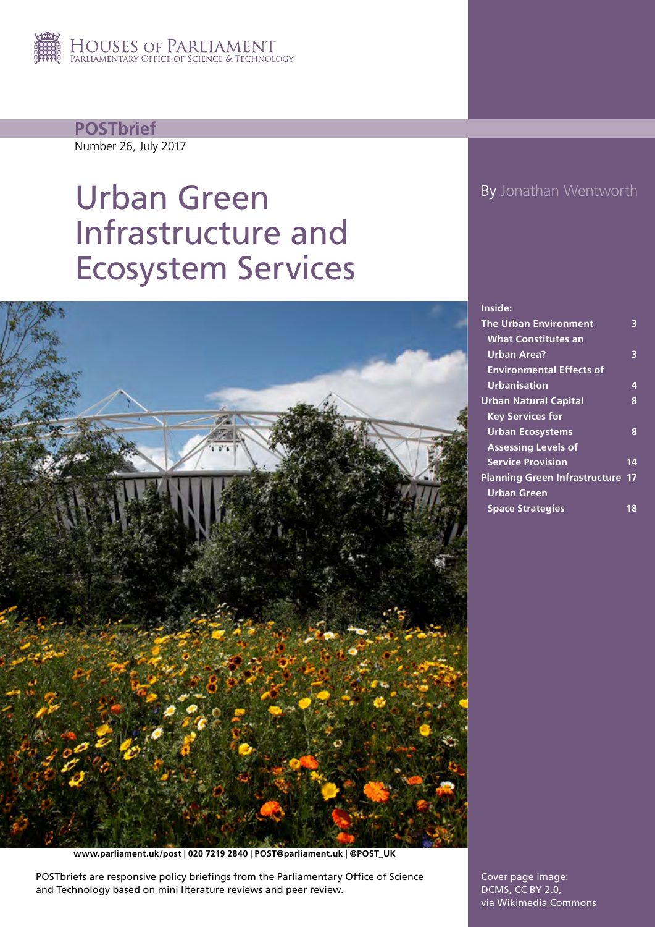

**POSTbrief** Number 26, July 2017

# Urban Green Infrastructure and Ecosystem Services

#### By Jonathan Wentworth



#### **Inside: [The Urban Environment](#page-2-0) 3 [What Constitutes an](#page-2-0)  [Urban Area?](#page-2-0) 3 [Environmental Effects of](#page-3-0)  [Urbanisation](#page-3-0) 4 [Urban Natural Capital](#page-7-0) 8 [Key Services for](#page-7-0)  [Urban Ecosystems](#page-7-0) 8 [Assessing Levels of](#page-13-0)  [Service Provision](#page-13-0) 14 [Planning Green Infrastructure](#page-16-0) 17 [Urban Green](#page-17-0)**

**[Space Strategies](#page-17-0) 18**

**www.parliament.uk/post | 020 7219 2840 | POST@parliament.uk | @POST\_UK**

POSTbriefs are responsive policy briefings from the Parliamentary Office of Science and Technology based on mini literature reviews and peer review.

Cover page image: DCMS, CC BY 2.0, via Wikimedia Commons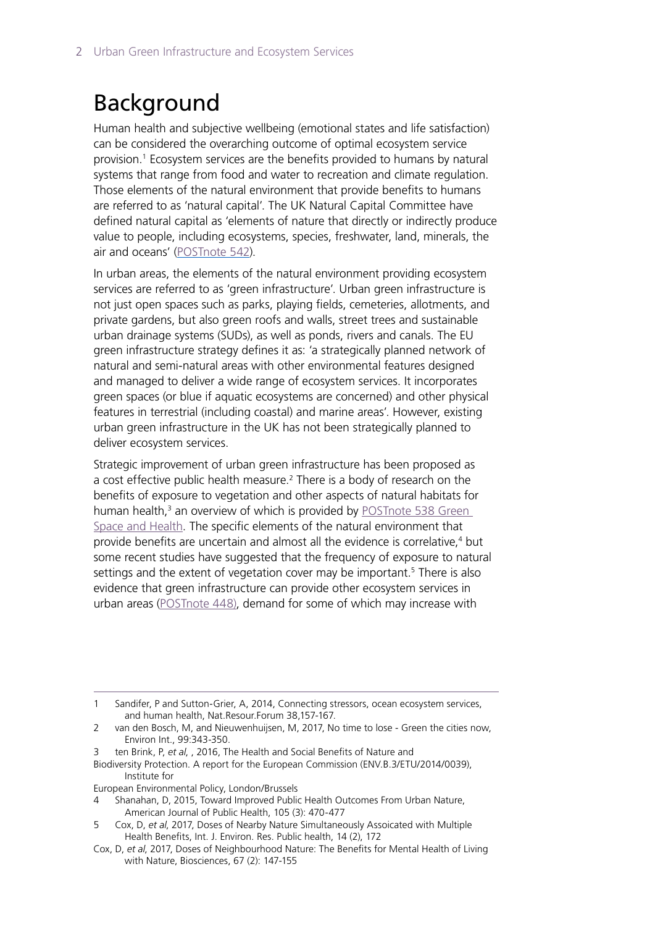# Background

Human health and subjective wellbeing (emotional states and life satisfaction) can be considered the overarching outcome of optimal ecosystem service provision.1 Ecosystem services are the benefits provided to humans by natural systems that range from food and water to recreation and climate regulation. Those elements of the natural environment that provide benefits to humans are referred to as 'natural capital'. The UK Natural Capital Committee have defined natural capital as 'elements of nature that directly or indirectly produce value to people, including ecosystems, species, freshwater, land, minerals, the air and oceans' [\(POSTnote 542\)](http://researchbriefings.parliament.uk/ResearchBriefing/Summary/POST-PN-0542).

In urban areas, the elements of the natural environment providing ecosystem services are referred to as 'green infrastructure'. Urban green infrastructure is not just open spaces such as parks, playing fields, cemeteries, allotments, and private gardens, but also green roofs and walls, street trees and sustainable urban drainage systems (SUDs), as well as ponds, rivers and canals. The EU green infrastructure strategy defines it as: 'a strategically planned network of natural and semi-natural areas with other environmental features designed and managed to deliver a wide range of ecosystem services. It incorporates green spaces (or blue if aquatic ecosystems are concerned) and other physical features in terrestrial (including coastal) and marine areas'. However, existing urban green infrastructure in the UK has not been strategically planned to deliver ecosystem services.

Strategic improvement of urban green infrastructure has been proposed as a cost effective public health measure.<sup>2</sup> There is a body of research on the benefits of exposure to vegetation and other aspects of natural habitats for human health,<sup>3</sup> an overview of which is provided by POSTnote 538 Green [Space and Health](http://researchbriefings.parliament.uk/ResearchBriefing/Summary/POST-PN-0538?utm_source=directory&utm_medium=website&utm_campaign=PN538). The specific elements of the natural environment that provide benefits are uncertain and almost all the evidence is correlative,<sup>4</sup> but some recent studies have suggested that the frequency of exposure to natural settings and the extent of vegetation cover may be important.<sup>5</sup> There is also evidence that green infrastructure can provide other ecosystem services in urban areas [\(POSTnote 448](http://researchbriefings.parliament.uk/ResearchBriefing/Summary/POST-PN-448/)), demand for some of which may increase with

<sup>1</sup> Sandifer, P and Sutton-Grier, A, 2014, Connecting stressors, ocean ecosystem services, and human health, Nat.Resour.Forum 38,157-167.

<sup>2</sup> van den Bosch, M, and Nieuwenhuijsen, M, 2017, No time to lose - Green the cities now, Environ Int., 99:343-350.

<sup>3</sup> ten Brink, P, *et al*, , 2016, The Health and Social Benefits of Nature and

Biodiversity Protection. A report for the European Commission (ENV.B.3/ETU/2014/0039), Institute for

European Environmental Policy, London/Brussels

<sup>4</sup> Shanahan, D, 2015, Toward Improved Public Health Outcomes From Urban Nature, American Journal of Public Health, 105 (3): 470-477

<sup>5</sup> Cox, D, *et al*, 2017, Doses of Nearby Nature Simultaneously Assoicated with Multiple Health Benefits, Int. J. Environ. Res. Public health, 14 (2), 172

Cox, D, *et al*, 2017, Doses of Neighbourhood Nature: The Benefits for Mental Health of Living with Nature, Biosciences, 67 (2): 147-155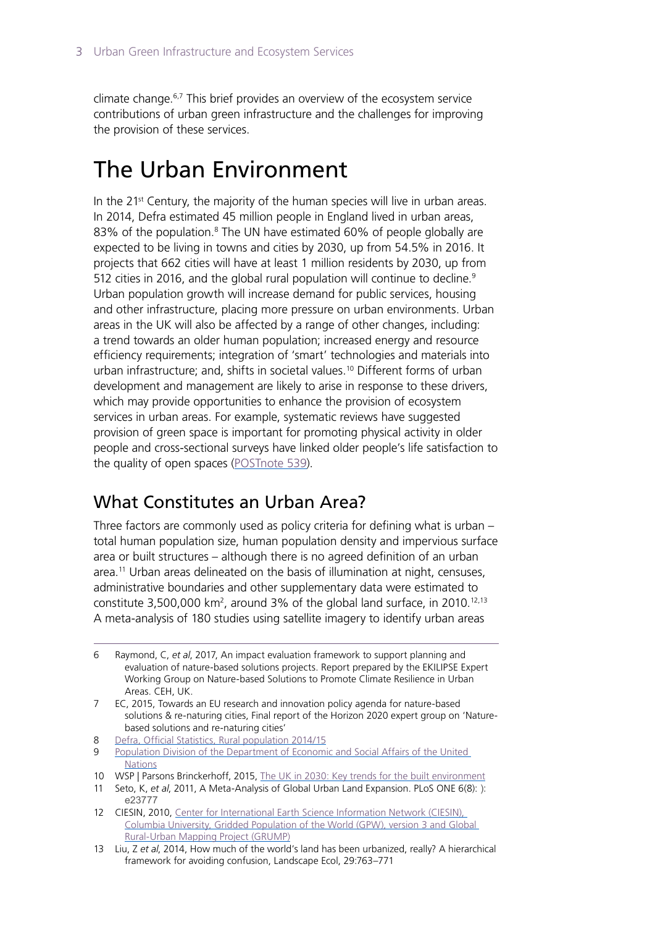<span id="page-2-0"></span>climate change.6,7 This brief provides an overview of the ecosystem service contributions of urban green infrastructure and the challenges for improving the provision of these services.

# The Urban Environment

In the 21<sup>st</sup> Century, the majority of the human species will live in urban areas. In 2014, Defra estimated 45 million people in England lived in urban areas, 83% of the population.<sup>8</sup> The UN have estimated 60% of people globally are expected to be living in towns and cities by 2030, up from 54.5% in 2016. It projects that 662 cities will have at least 1 million residents by 2030, up from 512 cities in 2016, and the global rural population will continue to decline.<sup>9</sup> Urban population growth will increase demand for public services, housing and other infrastructure, placing more pressure on urban environments. Urban areas in the UK will also be affected by a range of other changes, including: a trend towards an older human population; increased energy and resource efficiency requirements; integration of 'smart' technologies and materials into urban infrastructure; and, shifts in societal values.10 Different forms of urban development and management are likely to arise in response to these drivers, which may provide opportunities to enhance the provision of ecosystem services in urban areas. For example, systematic reviews have suggested provision of green space is important for promoting physical activity in older people and cross-sectional surveys have linked older people's life satisfaction to the quality of open spaces [\(POSTnote 539\)](http://researchbriefings.parliament.uk/ResearchBriefing/Summary/POST-PN-0539?utm_source=directory&utm_medium=website&utm_campaign=PN539).

### What Constitutes an Urban Area?

Three factors are commonly used as policy criteria for defining what is urban – total human population size, human population density and impervious surface area or built structures – although there is no agreed definition of an urban area.11 Urban areas delineated on the basis of illumination at night, censuses, administrative boundaries and other supplementary data were estimated to constitute 3,500,000 km<sup>2</sup>, around 3% of the global land surface, in 2010.<sup>12,13</sup> A meta-analysis of 180 studies using satellite imagery to identify urban areas

- 8 [Defra, Official Statistics, Rural population 2014/15](https://www.gov.uk/government/publications/rural-population-and-migration/rural-population-201415)
- 9 [Population Division of the Department of Economic and Social Affairs of the United](https://esa.un.org/unpd/wup/)  **[Nations](https://esa.un.org/unpd/wup/)**
- 10 WSP | Parsons Brinckerhoff, 2015, [The UK in 2030: Key trends for the built environment](https://www.bitc.org.uk/our-resources/report/uk-2030-key-trends-built-environment)
- 11 Seto, K, *et al*, 2011, A Meta-Analysis of Global Urban Land Expansion. PLoS ONE 6(8): ): e23777
- 12 CIESIN, 2010, [Center for International Earth Science Information Network \(CIESIN\),](http://sedac.ciesin.columbia.edu/data/collection/gpw-v3)  [Columbia University, Gridded Population of the World \(GPW\), version 3 and Global](http://sedac.ciesin.columbia.edu/data/collection/gpw-v3) [Rural-Urban Mapping Project \(GRUMP\)](http://sedac.ciesin.columbia.edu/data/collection/gpw-v3)

<sup>6</sup> Raymond, C, *et al*, 2017, An impact evaluation framework to support planning and evaluation of nature-based solutions projects. Report prepared by the EKILIPSE Expert Working Group on Nature-based Solutions to Promote Climate Resilience in Urban Areas. CEH, UK.

<sup>7</sup> EC, 2015, Towards an EU research and innovation policy agenda for nature-based solutions & re-naturing cities, Final report of the Horizon 2020 expert group on 'Naturebased solutions and re-naturing cities'

<sup>13</sup> Liu, Z *et al*, 2014, How much of the world's land has been urbanized, really? A hierarchical framework for avoiding confusion, Landscape Ecol, 29:763–771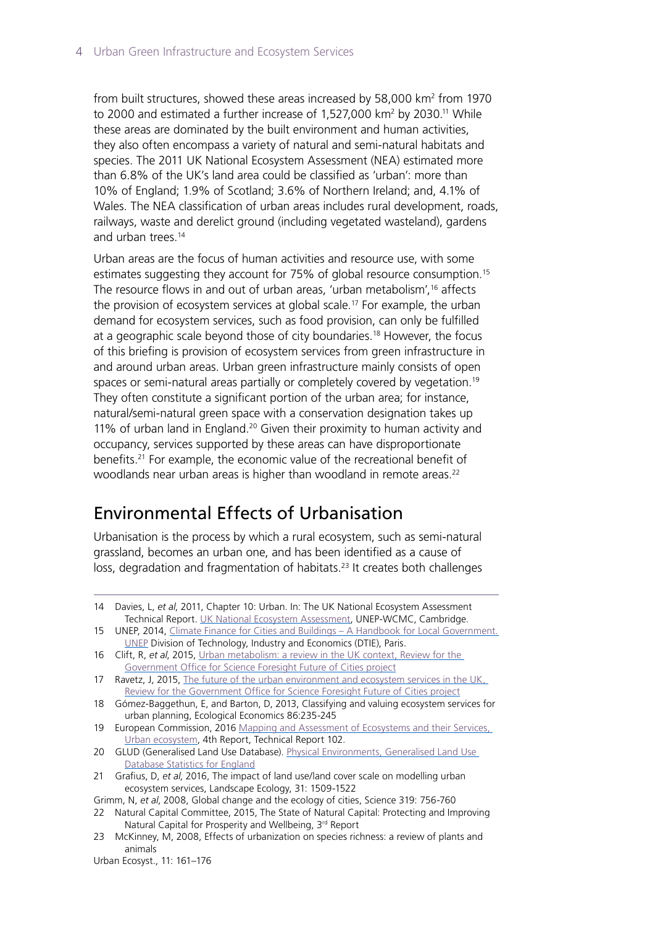<span id="page-3-0"></span>from built structures, showed these areas increased by 58,000 km<sup>2</sup> from 1970 to 2000 and estimated a further increase of 1,527,000 km<sup>2</sup> by 2030.<sup>11</sup> While these areas are dominated by the built environment and human activities, they also often encompass a variety of natural and semi-natural habitats and species. The 2011 UK National Ecosystem Assessment (NEA) estimated more than 6.8% of the UK's land area could be classified as 'urban': more than 10% of England; 1.9% of Scotland; 3.6% of Northern Ireland; and, 4.1% of Wales. The NEA classification of urban areas includes rural development, roads, railways, waste and derelict ground (including vegetated wasteland), gardens and urban trees.<sup>14</sup>

Urban areas are the focus of human activities and resource use, with some estimates suggesting they account for 75% of global resource consumption.<sup>15</sup> The resource flows in and out of urban areas, 'urban metabolism',16 affects the provision of ecosystem services at global scale.<sup>17</sup> For example, the urban demand for ecosystem services, such as food provision, can only be fulfilled at a geographic scale beyond those of city boundaries.<sup>18</sup> However, the focus of this briefing is provision of ecosystem services from green infrastructure in and around urban areas. Urban green infrastructure mainly consists of open spaces or semi-natural areas partially or completely covered by vegetation.<sup>19</sup> They often constitute a significant portion of the urban area; for instance, natural/semi-natural green space with a conservation designation takes up 11% of urban land in England.20 Given their proximity to human activity and occupancy, services supported by these areas can have disproportionate benefits.21 For example, the economic value of the recreational benefit of woodlands near urban areas is higher than woodland in remote areas.<sup>22</sup>

### Environmental Effects of Urbanisation

Urbanisation is the process by which a rural ecosystem, such as semi-natural grassland, becomes an urban one, and has been identified as a cause of loss, degradation and fragmentation of habitats.<sup>23</sup> It creates both challenges

<sup>14</sup> Davies, L, *et al*, 2011, Chapter 10: Urban. In: The UK National Ecosystem Assessment Technical Report. [UK National Ecosystem Assessment,](http://uknea.unep-wcmc.org/Resources/tabid/82/Default.aspx) UNEP-WCMC, Cambridge. 15 UNEP, 2014, Climate Finance for Cities and Buildings - A Handbook for Local Government. [UNEP](https://www.uncclearn.org/sites/default/files/inventory/-climate_finance_for_cities_and_buildings-_a_handbook_for_local_governments-2014carbon_finance_for_cities_and_buildings_3.pdf) Division of Technology, Industry and Economics (DTIE), Paris. 16 Clift, R, *et al*, 2015, [Urban metabolism: a review in the UK context, Review for the](https://www.gov.uk/government/uploads/system/uploads/attachment_data/file/470766/gs-15-30-future-cities-urban-metabolism.pdf)  [Government Office for Science Foresight Future of Cities project](https://www.gov.uk/government/uploads/system/uploads/attachment_data/file/470766/gs-15-30-future-cities-urban-metabolism.pdf) 17 Ravetz, J, 2015, [The future of the urban environment and ecosystem services in the UK,](https://www.gov.uk/government/uploads/system/uploads/attachment_data/file/469798/gs-15-34-future-cities-ecosystems.pdf)  [Review for the Government Office for Science Foresight Future of Cities project](https://www.gov.uk/government/uploads/system/uploads/attachment_data/file/469798/gs-15-34-future-cities-ecosystems.pdf) 18 Gómez-Baggethun, E, and Barton, D, 2013, Classifying and valuing ecosystem services for urban planning, Ecological Economics 86:235-245 19 European Commission, 2016 Mapping and Assessment of Ecosystems and their Services, [Urban ecosystem,](http://ec.europa.eu/environment/nature/knowledge/ecosystem_assessment/pdf/102.pdf) 4th Report, Technical Report 102. 20 GLUD (Generalised Land Use Database). Physical Environments, Generalised Land Use [Database Statistics for England](https://data.gov.uk/dataset/land_use_statistics_generalised_land_use_database) 21 Grafius, D, *et al*, 2016, The impact of land use/land cover scale on modelling urban ecosystem services, Landscape Ecology, 31: 1509-1522 Grimm, N, *et al*, 2008, Global change and the ecology of cities, Science 319: 756-760 22 Natural Capital Committee, 2015, The State of Natural Capital: Protecting and Improving Natural Capital for Prosperity and Wellbeing, 3rd Report 23 McKinney, M, 2008, Effects of urbanization on species richness: a review of plants and animals

Urban Ecosyst., 11: 161–176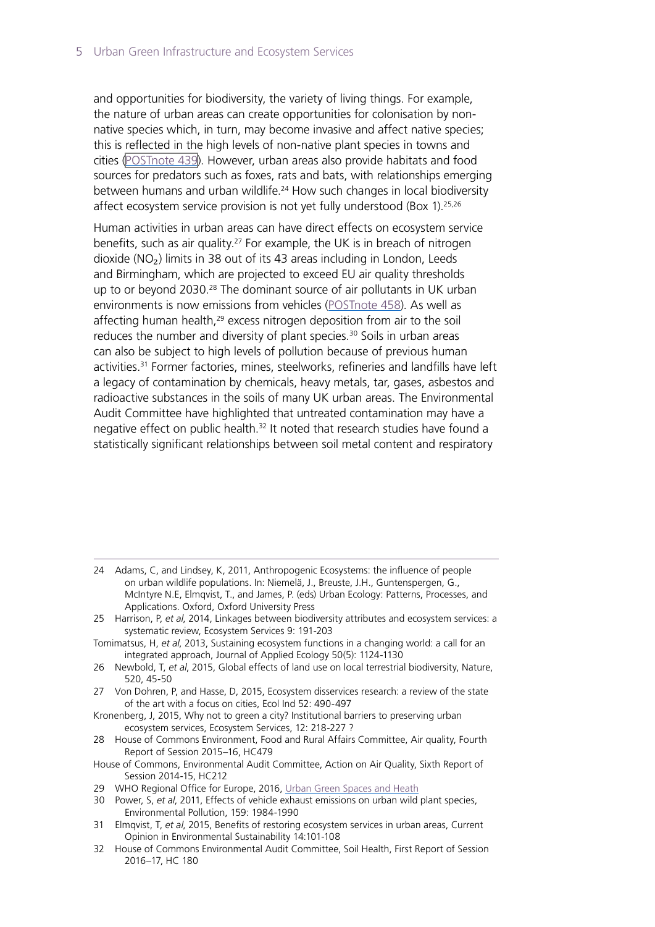and opportunities for biodiversity, the variety of living things. For example, the nature of urban areas can create opportunities for colonisation by nonnative species which, in turn, may become invasive and affect native species; this is reflected in the high levels of non-native plant species in towns and cities [\(POSTnote 439\)](http://researchbriefings.parliament.uk/ResearchBriefing/Summary/POST-PN-439). However, urban areas also provide habitats and food sources for predators such as foxes, rats and bats, with relationships emerging between humans and urban wildlife.<sup>24</sup> How such changes in local biodiversity affect ecosystem service provision is not yet fully understood (Box 1).<sup>25,26</sup>

Human activities in urban areas can have direct effects on ecosystem service benefits, such as air quality.27 For example, the UK is in breach of nitrogen dioxide (NO₂) limits in 38 out of its 43 areas including in London, Leeds and Birmingham, which are projected to exceed EU air quality thresholds up to or beyond 2030.<sup>28</sup> The dominant source of air pollutants in UK urban environments is now emissions from vehicles [\(POSTnote 458](http://researchbriefings.parliament.uk/ResearchBriefing/Summary/POST-PN-0458)). As well as affecting human health,<sup>29</sup> excess nitrogen deposition from air to the soil reduces the number and diversity of plant species.<sup>30</sup> Soils in urban areas can also be subject to high levels of pollution because of previous human activities.<sup>31</sup> Former factories, mines, steelworks, refineries and landfills have left a legacy of contamination by chemicals, heavy metals, tar, gases, asbestos and radioactive substances in the soils of many UK urban areas. The Environmental Audit Committee have highlighted that untreated contamination may have a negative effect on public health.<sup>32</sup> It noted that research studies have found a statistically significant relationships between soil metal content and respiratory

- Tomimatsus, H, *et al*, 2013, Sustaining ecosystem functions in a changing world: a call for an integrated approach, Journal of Applied Ecology 50(5): 1124-1130
- 26 Newbold, T, *et al*, 2015, Global effects of land use on local terrestrial biodiversity, Nature, 520, 45-50
- 27 Von Dohren, P, and Hasse, D, 2015, Ecosystem disservices research: a review of the state of the art with a focus on cities, Ecol Ind 52: 490-497
- Kronenberg, J, 2015, Why not to green a city? Institutional barriers to preserving urban ecosystem services, Ecosystem Services, 12: 218-227 ?
- 28 House of Commons Environment, Food and Rural Affairs Committee, Air quality, Fourth Report of Session 2015–16, HC479
- House of Commons, Environmental Audit Committee, Action on Air Quality, Sixth Report of Session 2014-15, HC212
- 29 WHO Regional Office for Europe, 2016, [Urban Green Spaces and Heath](http://www.euro.who.int/en/health-topics/environment-and-health/urban-health/publications/2016/urban-green-spaces-and-health-a-review-of-evidence-2016)
- 30 Power, S, *et al*, 2011, Effects of vehicle exhaust emissions on urban wild plant species, Environmental Pollution, 159: 1984-1990

32 House of Commons Environmental Audit Committee, Soil Health, First Report of Session 2016–17, HC 180

<sup>24</sup> Adams, C, and Lindsey, K, 2011, Anthropogenic Ecosystems: the influence of people on urban wildlife populations. In: Niemelä, J., Breuste, J.H., Guntenspergen, G., McIntyre N.E, Elmqvist, T., and James, P. (eds) Urban Ecology: Patterns, Processes, and Applications. Oxford, Oxford University Press

<sup>25</sup> Harrison, P, *et al*, 2014, Linkages between biodiversity attributes and ecosystem services: a systematic review, Ecosystem Services 9: 191-203

<sup>31</sup> Elmqvist, T, *et al*, 2015, Benefits of restoring ecosystem services in urban areas, Current Opinion in Environmental Sustainability 14:101-108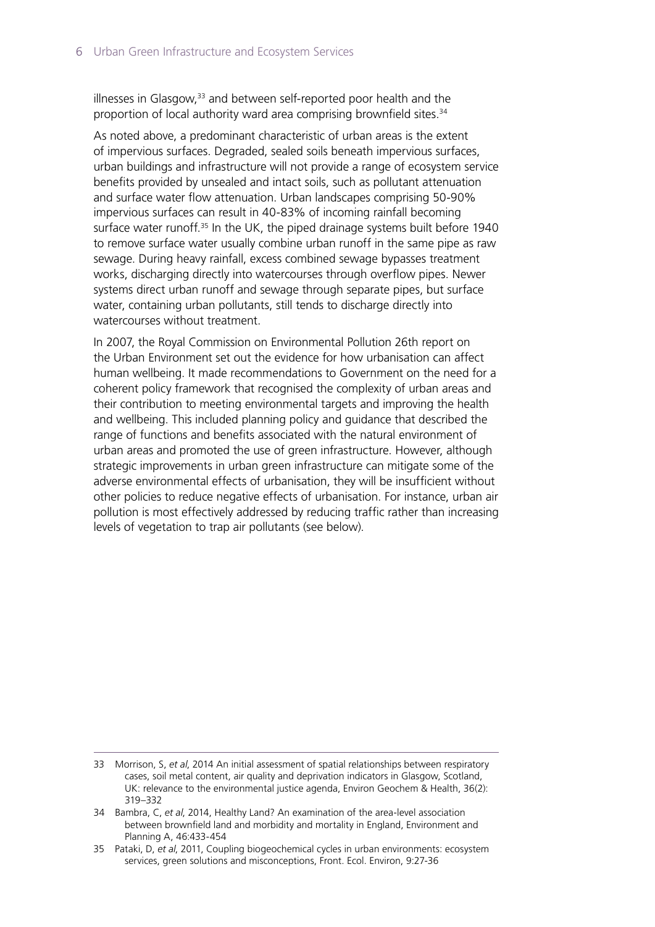illnesses in Glasgow,<sup>33</sup> and between self-reported poor health and the proportion of local authority ward area comprising brownfield sites.<sup>34</sup>

As noted above, a predominant characteristic of urban areas is the extent of impervious surfaces. Degraded, sealed soils beneath impervious surfaces, urban buildings and infrastructure will not provide a range of ecosystem service benefits provided by unsealed and intact soils, such as pollutant attenuation and surface water flow attenuation. Urban landscapes comprising 50-90% impervious surfaces can result in 40-83% of incoming rainfall becoming surface water runoff.<sup>35</sup> In the UK, the piped drainage systems built before 1940 to remove surface water usually combine urban runoff in the same pipe as raw sewage. During heavy rainfall, excess combined sewage bypasses treatment works, discharging directly into watercourses through overflow pipes. Newer systems direct urban runoff and sewage through separate pipes, but surface water, containing urban pollutants, still tends to discharge directly into watercourses without treatment.

In 2007, the Royal Commission on Environmental Pollution 26th report on the Urban Environment set out the evidence for how urbanisation can affect human wellbeing. It made recommendations to Government on the need for a coherent policy framework that recognised the complexity of urban areas and their contribution to meeting environmental targets and improving the health and wellbeing. This included planning policy and guidance that described the range of functions and benefits associated with the natural environment of urban areas and promoted the use of green infrastructure. However, although strategic improvements in urban green infrastructure can mitigate some of the adverse environmental effects of urbanisation, they will be insufficient without other policies to reduce negative effects of urbanisation. For instance, urban air pollution is most effectively addressed by reducing traffic rather than increasing levels of vegetation to trap air pollutants (see below).

<sup>33</sup> Morrison, S, *et al*, 2014 An initial assessment of spatial relationships between respiratory cases, soil metal content, air quality and deprivation indicators in Glasgow, Scotland, UK: relevance to the environmental justice agenda, Environ Geochem & Health, 36(2): 319–332

<sup>34</sup> Bambra, C, *et al*, 2014, Healthy Land? An examination of the area-level association between brownfield land and morbidity and mortality in England, Environment and Planning A, 46:433-454

<sup>35</sup> Pataki, D, *et al*, 2011, Coupling biogeochemical cycles in urban environments: ecosystem services, green solutions and misconceptions, Front. Ecol. Environ, 9:27-36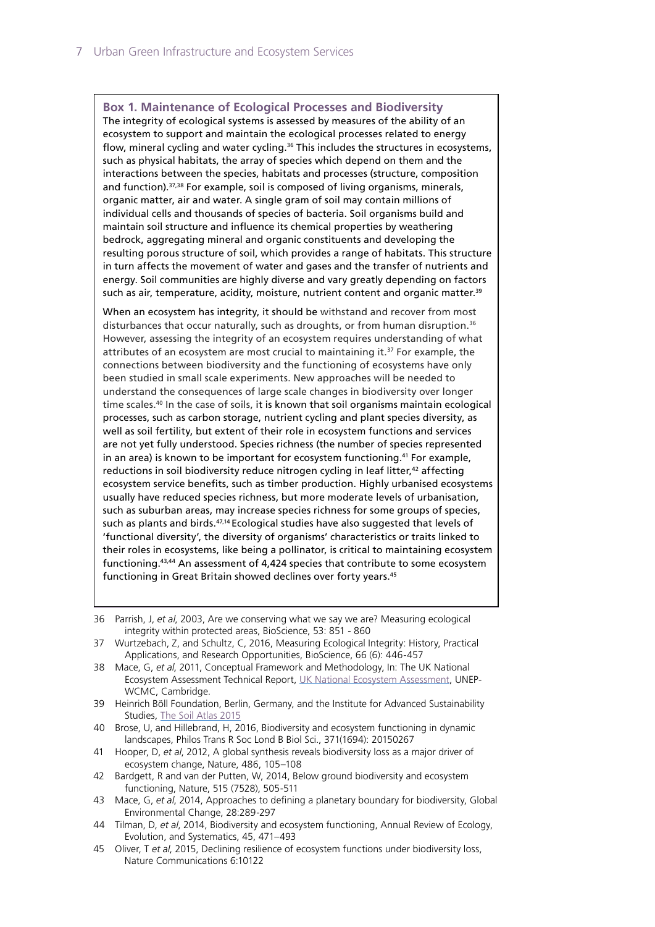**Box 1. Maintenance of Ecological Processes and Biodiversity** The integrity of ecological systems is assessed by measures of the ability of an ecosystem to support and maintain the ecological processes related to energy flow, mineral cycling and water cycling.36 This includes the structures in ecosystems, such as physical habitats, the array of species which depend on them and the interactions between the species, habitats and processes (structure, composition and function).<sup>37,38</sup> For example, soil is composed of living organisms, minerals, organic matter, air and water. A single gram of soil may contain millions of individual cells and thousands of species of bacteria. Soil organisms build and maintain soil structure and influence its chemical properties by weathering bedrock, aggregating mineral and organic constituents and developing the resulting porous structure of soil, which provides a range of habitats. This structure in turn affects the movement of water and gases and the transfer of nutrients and energy. Soil communities are highly diverse and vary greatly depending on factors such as air, temperature, acidity, moisture, nutrient content and organic matter.<sup>39</sup>

When an ecosystem has integrity, it should be withstand and recover from most disturbances that occur naturally, such as droughts, or from human disruption.<sup>36</sup> However, assessing the integrity of an ecosystem requires understanding of what attributes of an ecosystem are most crucial to maintaining it.37 For example, the connections between biodiversity and the functioning of ecosystems have only been studied in small scale experiments. New approaches will be needed to understand the consequences of large scale changes in biodiversity over longer time scales.40 In the case of soils, it is known that soil organisms maintain ecological processes, such as carbon storage, nutrient cycling and plant species diversity, as well as soil fertility, but extent of their role in ecosystem functions and services are not yet fully understood. Species richness (the number of species represented in an area) is known to be important for ecosystem functioning.<sup>41</sup> For example, reductions in soil biodiversity reduce nitrogen cycling in leaf litter,<sup>42</sup> affecting ecosystem service benefits, such as timber production. Highly urbanised ecosystems usually have reduced species richness, but more moderate levels of urbanisation, such as suburban areas, may increase species richness for some groups of species, such as plants and birds.<sup>47,14</sup> Ecological studies have also suggested that levels of 'functional diversity', the diversity of organisms' characteristics or traits linked to their roles in ecosystems, like being a pollinator, is critical to maintaining ecosystem functioning.43,44 An assessment of 4,424 species that contribute to some ecosystem functioning in Great Britain showed declines over forty years.45

- 36 Parrish, J, *et al*, 2003, Are we conserving what we say we are? Measuring ecological integrity within protected areas, BioScience, 53: 851 - 860
- 37 Wurtzebach, Z, and Schultz, C, 2016, Measuring Ecological Integrity: History, Practical Applications, and Research Opportunities, BioScience, 66 (6): 446-457
- 38 Mace, G, *et al*, 2011, Conceptual Framework and Methodology, In: The UK National Ecosystem Assessment Technical Report, [UK National Ecosystem Assessment,](http://uknea.unep-wcmc.org/Resources/tabid/82/Default.aspx) UNEP-WCMC, Cambridge.
- 39 Heinrich Böll Foundation, Berlin, Germany, and the Institute for Advanced Sustainability Studies, [The Soil Atlas 2015](https://www.boell.de/sites/default/files/soilatlas2015_ii.pdf)
- 40 Brose, U, and Hillebrand, H, 2016, Biodiversity and ecosystem functioning in dynamic landscapes, Philos Trans R Soc Lond B Biol Sci., 371(1694): 20150267
- 41 Hooper, D, *et al*, 2012, A global synthesis reveals biodiversity loss as a major driver of ecosystem change, Nature, 486, 105–108
- 42 Bardgett, R and van der Putten, W, 2014, Below ground biodiversity and ecosystem functioning, Nature, 515 (7528), 505-511
- 43 Mace, G, *et al*, 2014, Approaches to defining a planetary boundary for biodiversity, Global Environmental Change, 28:289-297
- 44 Tilman, D, *et al*, 2014, Biodiversity and ecosystem functioning, Annual Review of Ecology, Evolution, and Systematics, 45, 471–493
- 45 Oliver, T *et al*, 2015, Declining resilience of ecosystem functions under biodiversity loss, Nature Communications 6:10122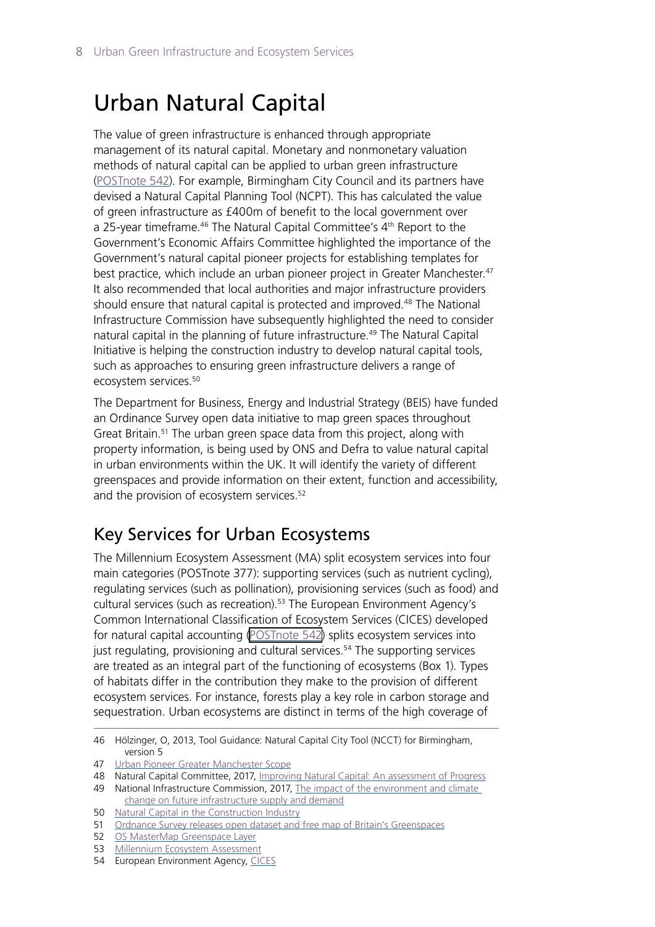# <span id="page-7-0"></span>Urban Natural Capital

The value of green infrastructure is enhanced through appropriate management of its natural capital. Monetary and nonmonetary valuation methods of natural capital can be applied to urban green infrastructure [\(POSTnote 542\)](http://researchbriefings.parliament.uk/ResearchBriefing/Summary/POST-PN-0542). For example, Birmingham City Council and its partners have devised a Natural Capital Planning Tool (NCPT). This has calculated the value of green infrastructure as £400m of benefit to the local government over a 25-year timeframe.<sup>46</sup> The Natural Capital Committee's  $4<sup>th</sup>$  Report to the Government's Economic Affairs Committee highlighted the importance of the Government's natural capital pioneer projects for establishing templates for best practice, which include an urban pioneer project in Greater Manchester.<sup>47</sup> It also recommended that local authorities and major infrastructure providers should ensure that natural capital is protected and improved.<sup>48</sup> The National Infrastructure Commission have subsequently highlighted the need to consider natural capital in the planning of future infrastructure.<sup>49</sup> The Natural Capital Initiative is helping the construction industry to develop natural capital tools, such as approaches to ensuring green infrastructure delivers a range of ecosystem services.<sup>50</sup>

The Department for Business, Energy and Industrial Strategy (BEIS) have funded an Ordinance Survey open data initiative to map green spaces throughout Great Britain.<sup>51</sup> The urban green space data from this project, along with property information, is being used by ONS and Defra to value natural capital in urban environments within the UK. It will identify the variety of different greenspaces and provide information on their extent, function and accessibility, and the provision of ecosystem services.<sup>52</sup>

### Key Services for Urban Ecosystems

The Millennium Ecosystem Assessment (MA) split ecosystem services into four main categories (POSTnote 377): supporting services (such as nutrient cycling), regulating services (such as pollination), provisioning services (such as food) and cultural services (such as recreation).<sup>53</sup> The European Environment Agency's Common International Classification of Ecosystem Services (CICES) developed for natural capital accounting [\(POSTnote 542\)](http://researchbriefings.parliament.uk/ResearchBriefing/Summary/POST-PN-0542) splits ecosystem services into just regulating, provisioning and cultural services.<sup>54</sup> The supporting services are treated as an integral part of the functioning of ecosystems (Box 1). Types of habitats differ in the contribution they make to the provision of different ecosystem services. For instance, forests play a key role in carbon storage and sequestration. Urban ecosystems are distinct in terms of the high coverage of

<sup>46</sup> Hölzinger, O, 2013, Tool Guidance: Natural Capital City Tool (NCCT) for Birmingham, version 5

<sup>47</sup> Urban Pioneer Greater Manchester Scope

<sup>48</sup> Natural Capital Committee, 2017, [Improving Natural Capital: An assessment of Progress](https://www.gov.uk/government/publications/natural-capital-committees-fourth-state-of-natural-capital-report)

<sup>49</sup> National Infrastructure Commission, 2017, The impact of the environment and climate [change on future infrastructure supply and demand](https://www.nic.org.uk/wp-content/uploads/The-impact-of-the-environment-and-climate-change-on-future-infrastructure-supply-and-demand-1.pdf)

<sup>50</sup> [Natural Capital in the Construction Industry](http://www.naturalcapitalinitiative.org.uk/natural-capital-construction-industry/)

<sup>51</sup> [Ordnance Survey releases open dataset and free map of Britain's Greenspaces](https://www.ordnancesurvey.co.uk/about/news/2017/os-releases-open-dataset-free-map-gb-greenspaces.html)

<sup>52</sup> [OS MasterMap Greenspace Layer](https://www.ordnancesurvey.co.uk/business-and-government/products/os-mastermap-greenspace.html)

<sup>53</sup> [Millennium Ecosystem Assessment](http://www.millenniumassessment.org/en/Synthesis.html)

<sup>54</sup> European Environment Agency, [CICES](https://cices.eu/cices-structure/)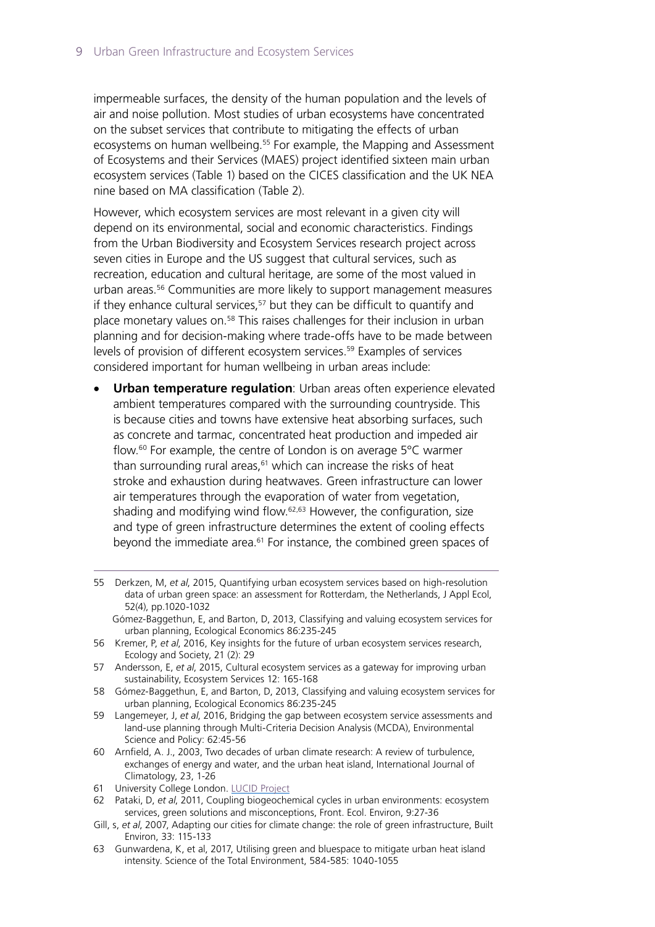impermeable surfaces, the density of the human population and the levels of air and noise pollution. Most studies of urban ecosystems have concentrated on the subset services that contribute to mitigating the effects of urban ecosystems on human wellbeing.<sup>55</sup> For example, the Mapping and Assessment of Ecosystems and their Services (MAES) project identified sixteen main urban ecosystem services (Table 1) based on the CICES classification and the UK NEA nine based on MA classification (Table 2).

However, which ecosystem services are most relevant in a given city will depend on its environmental, social and economic characteristics. Findings from the Urban Biodiversity and Ecosystem Services research project across seven cities in Europe and the US suggest that cultural services, such as recreation, education and cultural heritage, are some of the most valued in urban areas.56 Communities are more likely to support management measures if they enhance cultural services, $57$  but they can be difficult to quantify and place monetary values on.<sup>58</sup> This raises challenges for their inclusion in urban planning and for decision-making where trade-offs have to be made between levels of provision of different ecosystem services.<sup>59</sup> Examples of services considered important for human wellbeing in urban areas include:

- **Urban temperature regulation**: Urban areas often experience elevated ambient temperatures compared with the surrounding countryside. This is because cities and towns have extensive heat absorbing surfaces, such as concrete and tarmac, concentrated heat production and impeded air flow.60 For example, the centre of London is on average 5°C warmer than surrounding rural areas, $61$  which can increase the risks of heat stroke and exhaustion during heatwaves. Green infrastructure can lower air temperatures through the evaporation of water from vegetation, shading and modifying wind flow.<sup>62,63</sup> However, the configuration, size and type of green infrastructure determines the extent of cooling effects beyond the immediate area.<sup>61</sup> For instance, the combined green spaces of
- 55 Derkzen, M, *et al*, 2015, Quantifying urban ecosystem services based on high-resolution data of urban green space: an assessment for Rotterdam, the Netherlands, J Appl Ecol, 52(4), pp.1020-1032
	- Gómez-Baggethun, E, and Barton, D, 2013, Classifying and valuing ecosystem services for urban planning, Ecological Economics 86:235-245
- 56 Kremer, P, *et al*, 2016, Key insights for the future of urban ecosystem services research, Ecology and Society, 21 (2): 29
- 57 Andersson, E, *et al*, 2015, Cultural ecosystem services as a gateway for improving urban sustainability, Ecosystem Services 12: 165-168
- 58 Gómez-Baggethun, E, and Barton, D, 2013, Classifying and valuing ecosystem services for urban planning, Ecological Economics 86:235-245
- 59 Langemeyer, J, *et al*, 2016, Bridging the gap between ecosystem service assessments and land-use planning through Multi-Criteria Decision Analysis (MCDA), Environmental Science and Policy: 62:45-56
- 60 Arnfield, A. J., 2003, Two decades of urban climate research: A review of turbulence, exchanges of energy and water, and the urban heat island, International Journal of Climatology, 23, 1-26
- 61 University College London. [LUCID Project](http://www.homepages.ucl.ac.uk/~ucftiha/)
- 62 Pataki, D, *et al*, 2011, Coupling biogeochemical cycles in urban environments: ecosystem services, green solutions and misconceptions, Front. Ecol. Environ, 9:27-36
- Gill, s, *et al*, 2007, Adapting our cities for climate change: the role of green infrastructure, Built Environ, 33: 115-133
- 63 Gunwardena, K, et al, 2017, Utilising green and bluespace to mitigate urban heat island intensity. Science of the Total Environment, 584-585: 1040-1055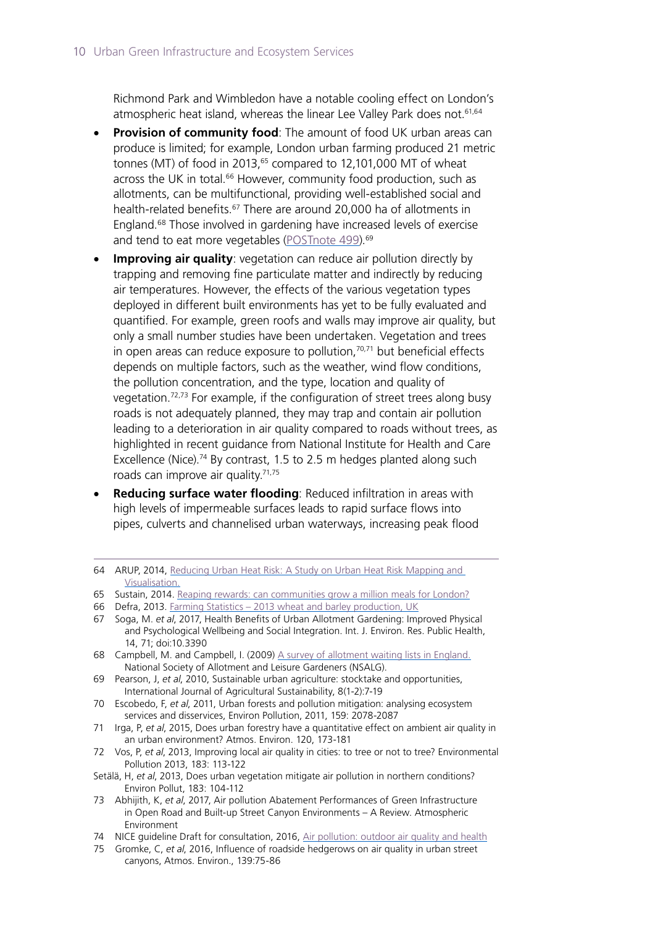Richmond Park and Wimbledon have a notable cooling effect on London's atmospheric heat island, whereas the linear Lee Valley Park does not.<sup>61,64</sup>

- **Provision of community food**: The amount of food UK urban areas can produce is limited; for example, London urban farming produced 21 metric tonnes (MT) of food in 2013, $65$  compared to 12,101,000 MT of wheat across the UK in total.<sup>66</sup> However, community food production, such as allotments, can be multifunctional, providing well-established social and health-related benefits.<sup>67</sup> There are around 20,000 ha of allotments in England.68 Those involved in gardening have increased levels of exercise and tend to eat more vegetables ([POSTnote 499\)](http://researchbriefings.parliament.uk/ResearchBriefing/Summary/POST-PN-0499).<sup>69</sup>
- **Improving air quality**: vegetation can reduce air pollution directly by trapping and removing fine particulate matter and indirectly by reducing air temperatures. However, the effects of the various vegetation types deployed in different built environments has yet to be fully evaluated and quantified. For example, green roofs and walls may improve air quality, but only a small number studies have been undertaken. Vegetation and trees in open areas can reduce exposure to pollution, $70,71$  but beneficial effects depends on multiple factors, such as the weather, wind flow conditions, the pollution concentration, and the type, location and quality of vegetation.72,73 For example, if the configuration of street trees along busy roads is not adequately planned, they may trap and contain air pollution leading to a deterioration in air quality compared to roads without trees, as highlighted in recent guidance from National Institute for Health and Care Excellence (Nice).<sup>74</sup> By contrast, 1.5 to 2.5 m hedges planted along such roads can improve air quality.71,75
- **Reducing surface water flooding: Reduced infiltration in areas with** high levels of impermeable surfaces leads to rapid surface flows into pipes, culverts and channelised urban waterways, increasing peak flood

- 67 Soga, M. *et al*, 2017, Health Benefits of Urban Allotment Gardening: Improved Physical and Psychological Wellbeing and Social Integration. Int. J. Environ. Res. Public Health, 14, 71; doi:10.3390
- 68 Campbell, M. and Campbell, I. (2009) [A survey of allotment waiting lists in England.](http://transitiontownwestkirby.org.uk/files/ttwk_nsalg_survey_09.pdf) National Society of Allotment and Leisure Gardeners (NSALG).
- 69 Pearson, J, *et al*, 2010, Sustainable urban agriculture: stocktake and opportunities, International Journal of Agricultural Sustainability, 8(1-2):7-19
- 70 Escobedo, F, *et al*, 2011, Urban forests and pollution mitigation: analysing ecosystem services and disservices, Environ Pollution, 2011, 159: 2078-2087
- 71 Irga, P, *et al*, 2015, Does urban forestry have a quantitative effect on ambient air quality in an urban environment? Atmos. Environ. 120, 173-181
- 72 Vos, P, *et al*, 2013, Improving local air quality in cities: to tree or not to tree? Environmental Pollution 2013, 183: 113-122
- Setälä, H, *et al*, 2013, Does urban vegetation mitigate air pollution in northern conditions? Environ Pollut, 183: 104-112
- 73 Abhijith, K, *et al*, 2017, Air pollution Abatement Performances of Green Infrastructure in Open Road and Built-up Street Canyon Environments – A Review. Atmospheric Environment
- 74 NICE guideline Draft for consultation, 2016, [Air pollution: outdoor air quality and health](https://www.nice.org.uk/guidance/GID-PHG92/documents/draft-guideline)
- 75 Gromke, C, *et al*, 2016, Influence of roadside hedgerows on air quality in urban street canyons, Atmos. Environ., 139:75-86

<sup>64</sup> ARUP, 2014, [Reducing Urban Heat Risk: A Study on Urban Heat Risk Mapping and](https://www.arup.com/publications/research/section/reducing-urban-heat-risk)  [Visualisation.](https://www.arup.com/publications/research/section/reducing-urban-heat-risk)

<sup>65</sup> Sustain, 2014. [Reaping rewards: can communities grow a million meals for London?](https://www.sustainweb.org/publications/reaping_rewards/)

<sup>66</sup> Defra, 2013. [Farming Statistics – 2013 wheat and barley production, UK](https://www.gov.uk/government/statistics/farming-statistics-2013-wheat-and-barley-production-uk)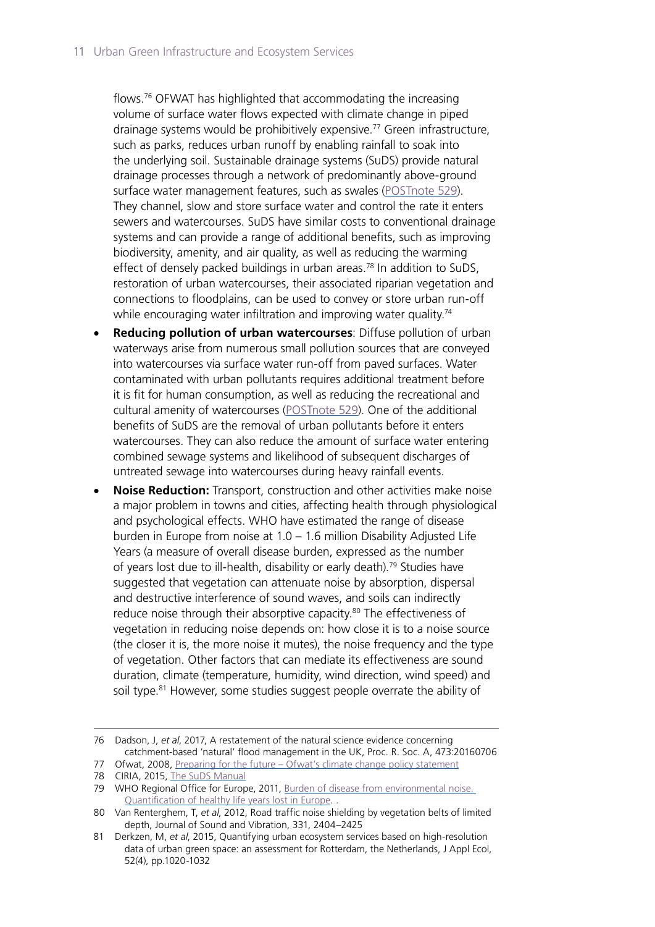flows.76 OFWAT has highlighted that accommodating the increasing volume of surface water flows expected with climate change in piped drainage systems would be prohibitively expensive.77 Green infrastructure, such as parks, reduces urban runoff by enabling rainfall to soak into the underlying soil. Sustainable drainage systems (SuDS) provide natural drainage processes through a network of predominantly above-ground surface water management features, such as swales [\(POSTnote 529\)](http://researchbriefings.parliament.uk/ResearchBriefing/Summary/POST-PN-0529?utm_source=website&utm_medium=website&utm_campaign=PN529). They channel, slow and store surface water and control the rate it enters sewers and watercourses. SuDS have similar costs to conventional drainage systems and can provide a range of additional benefits, such as improving biodiversity, amenity, and air quality, as well as reducing the warming effect of densely packed buildings in urban areas.<sup>78</sup> In addition to SuDS, restoration of urban watercourses, their associated riparian vegetation and connections to floodplains, can be used to convey or store urban run-off while encouraging water infiltration and improving water quality.<sup>74</sup>

- **Reducing pollution of urban watercourses: Diffuse pollution of urban** waterways arise from numerous small pollution sources that are conveyed into watercourses via surface water run-off from paved surfaces. Water contaminated with urban pollutants requires additional treatment before it is fit for human consumption, as well as reducing the recreational and cultural amenity of watercourses [\(POSTnote 529\)](http://researchbriefings.parliament.uk/ResearchBriefing/Summary/POST-PN-0529?utm_source=website&utm_medium=website&utm_campaign=PN529). One of the additional benefits of SuDS are the removal of urban pollutants before it enters watercourses. They can also reduce the amount of surface water entering combined sewage systems and likelihood of subsequent discharges of untreated sewage into watercourses during heavy rainfall events.
- • **Noise Reduction:** Transport, construction and other activities make noise a major problem in towns and cities, affecting health through physiological and psychological effects. WHO have estimated the range of disease burden in Europe from noise at 1.0 – 1.6 million Disability Adjusted Life Years (a measure of overall disease burden, expressed as the number of years lost due to ill-health, disability or early death).<sup>79</sup> Studies have suggested that vegetation can attenuate noise by absorption, dispersal and destructive interference of sound waves, and soils can indirectly reduce noise through their absorptive capacity.<sup>80</sup> The effectiveness of vegetation in reducing noise depends on: how close it is to a noise source (the closer it is, the more noise it mutes), the noise frequency and the type of vegetation. Other factors that can mediate its effectiveness are sound duration, climate (temperature, humidity, wind direction, wind speed) and soil type.<sup>81</sup> However, some studies suggest people overrate the ability of

<sup>76</sup> Dadson, J, *et al*, 2017, A restatement of the natural science evidence concerning catchment-based 'natural' flood management in the UK, Proc. R. Soc. A, 473:20160706

<sup>77</sup> Ofwat, 2008, [Preparing for the future – Ofwat's climate change policy statement](https://www.ofwat.gov.uk/regulated-companies/resilience-2/climate-change/)

<sup>78</sup> CIRIA, 2015, [The SuDS Manual](https://www.ciria.org/Resources/Free_publications/SuDS_manual_C753.aspx)

<sup>79</sup> WHO Regional Office for Europe, 2011, [Burden of disease from environmental noise.](http://www.who.int/quantifying_ehimpacts/publications/e94888/en/)  [Quantification of healthy life years lost in Europe](http://www.who.int/quantifying_ehimpacts/publications/e94888/en/). .

<sup>80</sup> Van Renterghem, T, *et al*, 2012, Road traffic noise shielding by vegetation belts of limited depth, Journal of Sound and Vibration, 331, 2404–2425

<sup>81</sup> Derkzen, M, *et al*, 2015, Quantifying urban ecosystem services based on high-resolution data of urban green space: an assessment for Rotterdam, the Netherlands, J Appl Ecol, 52(4), pp.1020-1032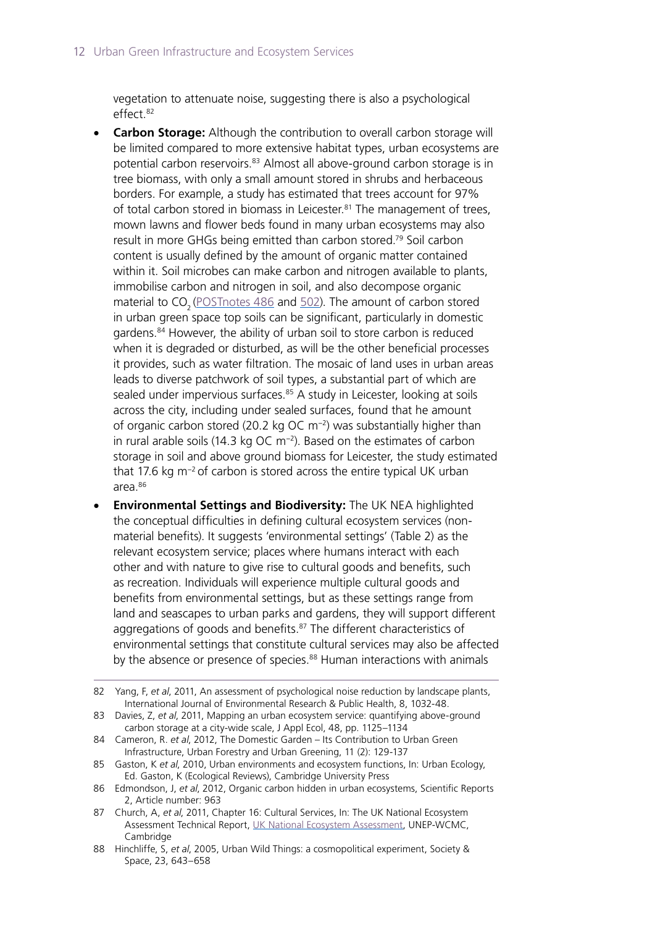vegetation to attenuate noise, suggesting there is also a psychological effect.<sup>82</sup>

- **Carbon Storage:** Although the contribution to overall carbon storage will be limited compared to more extensive habitat types, urban ecosystems are potential carbon reservoirs.<sup>83</sup> Almost all above-ground carbon storage is in tree biomass, with only a small amount stored in shrubs and herbaceous borders. For example, a study has estimated that trees account for 97% of total carbon stored in biomass in Leicester.<sup>81</sup> The management of trees, mown lawns and flower beds found in many urban ecosystems may also result in more GHGs being emitted than carbon stored.79 Soil carbon content is usually defined by the amount of organic matter contained within it. Soil microbes can make carbon and nitrogen available to plants, immobilise carbon and nitrogen in soil, and also decompose organic material to CO<sub>2</sub> [\(POSTnotes 486](http://researchbriefings.parliament.uk/ResearchBriefing/Summary/POST-PN-486) and [502\)](http://researchbriefings.parliament.uk/ResearchBriefing/Summary/POST-PN-0502). The amount of carbon stored in urban green space top soils can be significant, particularly in domestic gardens.84 However, the ability of urban soil to store carbon is reduced when it is degraded or disturbed, as will be the other beneficial processes it provides, such as water filtration. The mosaic of land uses in urban areas leads to diverse patchwork of soil types, a substantial part of which are sealed under impervious surfaces.<sup>85</sup> A study in Leicester, looking at soils across the city, including under sealed surfaces, found that he amount of organic carbon stored (20.2 kg OC m−2) was substantially higher than in rural arable soils (14.3 kg OC m−2). Based on the estimates of carbon storage in soil and above ground biomass for Leicester, the study estimated that 17.6 kg m−2 of carbon is stored across the entire typical UK urban area.86
- **Environmental Settings and Biodiversity:** The UK NEA highlighted the conceptual difficulties in defining cultural ecosystem services (nonmaterial benefits). It suggests 'environmental settings' (Table 2) as the relevant ecosystem service; places where humans interact with each other and with nature to give rise to cultural goods and benefits, such as recreation. Individuals will experience multiple cultural goods and benefits from environmental settings, but as these settings range from land and seascapes to urban parks and gardens, they will support different aggregations of goods and benefits.<sup>87</sup> The different characteristics of environmental settings that constitute cultural services may also be affected by the absence or presence of species.<sup>88</sup> Human interactions with animals

<sup>82</sup> Yang, F, *et al*, 2011, An assessment of psychological noise reduction by landscape plants, International Journal of Environmental Research & Public Health, 8, 1032-48.

<sup>83</sup> Davies, Z, *et al*, 2011, Mapping an urban ecosystem service: quantifying above-ground carbon storage at a city-wide scale, J Appl Ecol, 48, pp. 1125–1134

<sup>84</sup> Cameron, R. *et al*, 2012, The Domestic Garden – Its Contribution to Urban Green Infrastructure, Urban Forestry and Urban Greening, 11 (2): 129-137

<sup>85</sup> Gaston, K *et al*, 2010, Urban environments and ecosystem functions, In: Urban Ecology, Ed. Gaston, K (Ecological Reviews), Cambridge University Press

<sup>86</sup> Edmondson, J, *et al*, 2012, Organic carbon hidden in urban ecosystems, Scientific Reports 2, Article number: 963

<sup>87</sup> Church, A, *et al*, 2011, Chapter 16: Cultural Services, In: The UK National Ecosystem Assessment Technical Report, [UK National Ecosystem Assessment](http://uknea.unep-wcmc.org/Resources/tabid/82/Default.aspx), UNEP-WCMC, Cambridge

<sup>88</sup> Hinchliffe, S, *et al*, 2005, Urban Wild Things: a cosmopolitical experiment, Society & Space, 23, 643–658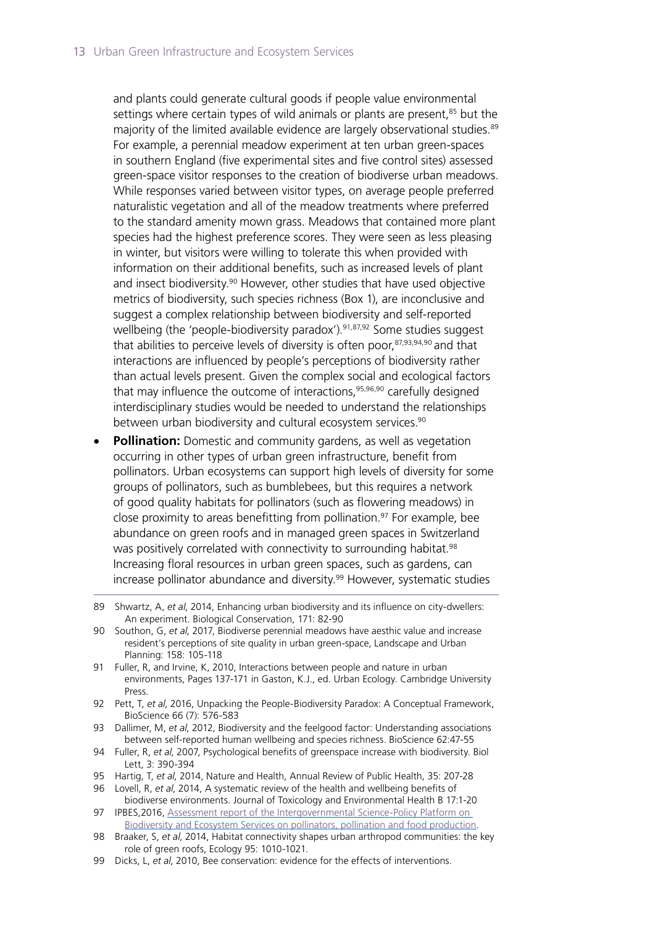and plants could generate cultural goods if people value environmental settings where certain types of wild animals or plants are present,<sup>85</sup> but the majority of the limited available evidence are largely observational studies.<sup>89</sup> For example, a perennial meadow experiment at ten urban green-spaces in southern England (five experimental sites and five control sites) assessed green-space visitor responses to the creation of biodiverse urban meadows. While responses varied between visitor types, on average people preferred naturalistic vegetation and all of the meadow treatments where preferred to the standard amenity mown grass. Meadows that contained more plant species had the highest preference scores. They were seen as less pleasing in winter, but visitors were willing to tolerate this when provided with information on their additional benefits, such as increased levels of plant and insect biodiversity.<sup>90</sup> However, other studies that have used objective metrics of biodiversity, such species richness (Box 1), are inconclusive and suggest a complex relationship between biodiversity and self-reported wellbeing (the 'people-biodiversity paradox').<sup>91,87,92</sup> Some studies suggest that abilities to perceive levels of diversity is often poor, 87,93,94,90 and that interactions are influenced by people's perceptions of biodiversity rather than actual levels present. Given the complex social and ecological factors that may influence the outcome of interactions,<sup>95,96,90</sup> carefully designed interdisciplinary studies would be needed to understand the relationships between urban biodiversity and cultural ecosystem services.<sup>90</sup>

- **Pollination:** Domestic and community gardens, as well as vegetation occurring in other types of urban green infrastructure, benefit from pollinators. Urban ecosystems can support high levels of diversity for some groups of pollinators, such as bumblebees, but this requires a network of good quality habitats for pollinators (such as flowering meadows) in close proximity to areas benefitting from pollination.<sup>97</sup> For example, bee abundance on green roofs and in managed green spaces in Switzerland was positively correlated with connectivity to surrounding habitat.<sup>98</sup> Increasing floral resources in urban green spaces, such as gardens, can increase pollinator abundance and diversity.<sup>99</sup> However, systematic studies
- 89 Shwartz, A, *et al*, 2014, Enhancing urban biodiversity and its influence on city-dwellers: An experiment. Biological Conservation, 171: 82-90
- 90 Southon, G, *et al*, 2017, Biodiverse perennial meadows have aesthic value and increase resident's perceptions of site quality in urban green-space, Landscape and Urban Planning: 158: 105-118
- 91 Fuller, R, and Irvine, K, 2010, Interactions between people and nature in urban environments, Pages 137-171 in Gaston, K.J., ed. Urban Ecology. Cambridge University Press.
- 92 Pett, T, *et al*, 2016, Unpacking the People-Biodiversity Paradox: A Conceptual Framework, BioScience 66 (7): 576-583
- 93 Dallimer, M, *et al*, 2012, Biodiversity and the feelgood factor: Understanding associations between self-reported human wellbeing and species richness. BioScience 62:47-55
- 94 Fuller, R, *et al*, 2007, Psychological benefits of greenspace increase with biodiversity. Biol Lett, 3: 390-394
- 95 Hartig, T, *et al*, 2014, Nature and Health, Annual Review of Public Health, 35: 207-28
- 96 Lovell, R, *et al*, 2014, A systematic review of the health and wellbeing benefits of biodiverse environments. Journal of Toxicology and Environmental Health B 17:1-20
- 97 IPBES, 2016, Assessment report of the Intergovernmental Science-Policy Platform on [Biodiversity and Ecosystem Services on pollinators, pollination and food production](http://www.ipbes.net/sites/default/files/downloads/pdf/spm_deliverable_3a_pollination_20170222.pdf).
- 98 Braaker, S, *et al*, 2014, Habitat connectivity shapes urban arthropod communities: the key role of green roofs, Ecology 95: 1010-1021.
- 99 Dicks, L, *et al*, 2010, Bee conservation: evidence for the effects of interventions.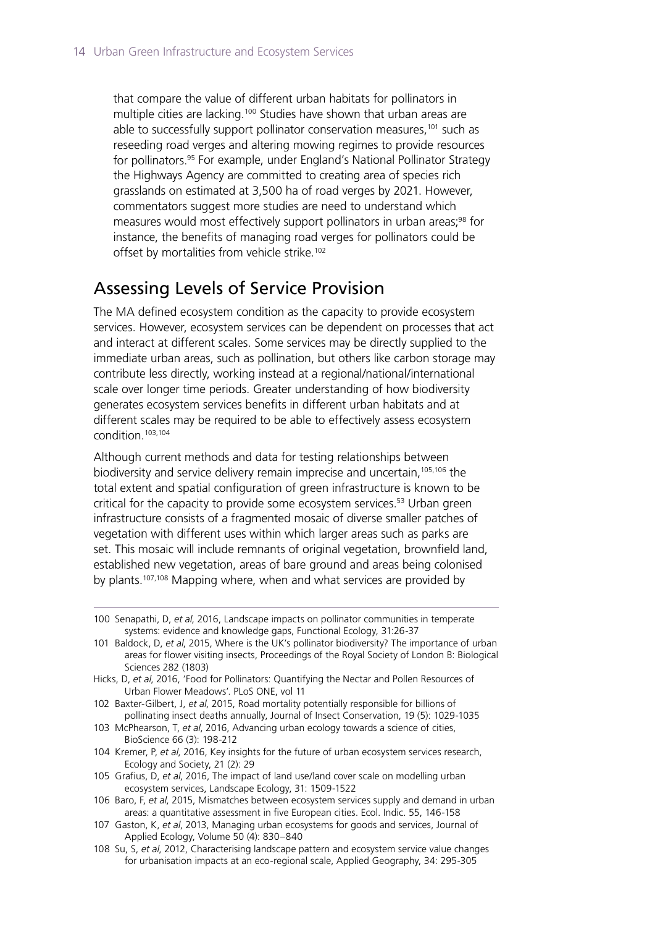<span id="page-13-0"></span>that compare the value of different urban habitats for pollinators in multiple cities are lacking.100 Studies have shown that urban areas are able to successfully support pollinator conservation measures.<sup>101</sup> such as reseeding road verges and altering mowing regimes to provide resources for pollinators.95 For example, under England's National Pollinator Strategy the Highways Agency are committed to creating area of species rich grasslands on estimated at 3,500 ha of road verges by 2021. However, commentators suggest more studies are need to understand which measures would most effectively support pollinators in urban areas;<sup>98</sup> for instance, the benefits of managing road verges for pollinators could be offset by mortalities from vehicle strike.<sup>102</sup>

#### Assessing Levels of Service Provision

The MA defined ecosystem condition as the capacity to provide ecosystem services. However, ecosystem services can be dependent on processes that act and interact at different scales. Some services may be directly supplied to the immediate urban areas, such as pollination, but others like carbon storage may contribute less directly, working instead at a regional/national/international scale over longer time periods. Greater understanding of how biodiversity generates ecosystem services benefits in different urban habitats and at different scales may be required to be able to effectively assess ecosystem condition.103,104

Although current methods and data for testing relationships between biodiversity and service delivery remain imprecise and uncertain,<sup>105,106</sup> the total extent and spatial configuration of green infrastructure is known to be critical for the capacity to provide some ecosystem services.<sup>53</sup> Urban green infrastructure consists of a fragmented mosaic of diverse smaller patches of vegetation with different uses within which larger areas such as parks are set. This mosaic will include remnants of original vegetation, brownfield land, established new vegetation, areas of bare ground and areas being colonised by plants.<sup>107,108</sup> Mapping where, when and what services are provided by

- Hicks, D, *et al*, 2016, 'Food for Pollinators: Quantifying the Nectar and Pollen Resources of Urban Flower Meadows'. PLoS ONE, vol 11
- 102 Baxter-Gilbert, J, *et al*, 2015, Road mortality potentially responsible for billions of pollinating insect deaths annually, Journal of Insect Conservation, 19 (5): 1029-1035
- 103 McPhearson, T, *et al*, 2016, Advancing urban ecology towards a science of cities, BioScience 66 (3): 198-212
- 104 Kremer, P, *et al*, 2016, Key insights for the future of urban ecosystem services research, Ecology and Society, 21 (2): 29
- 105 Grafius, D, *et al*, 2016, The impact of land use/land cover scale on modelling urban ecosystem services, Landscape Ecology, 31: 1509-1522
- 106 Baro, F, *et al*, 2015, Mismatches between ecosystem services supply and demand in urban areas: a quantitative assessment in five European cities. Ecol. Indic. 55, 146-158
- 107 Gaston, K, *et al*, 2013, Managing urban ecosystems for goods and services, Journal of Applied Ecology, Volume 50 (4): 830–840
- 108 Su, S, *et al*, 2012, Characterising landscape pattern and ecosystem service value changes for urbanisation impacts at an eco-regional scale, Applied Geography, 34: 295-305

<sup>100</sup> Senapathi, D, *et al*, 2016, Landscape impacts on pollinator communities in temperate systems: evidence and knowledge gaps, Functional Ecology, 31:26-37

<sup>101</sup> Baldock, D, *et al*, 2015, Where is the UK's pollinator biodiversity? The importance of urban areas for flower visiting insects, Proceedings of the Royal Society of London B: Biological Sciences 282 (1803)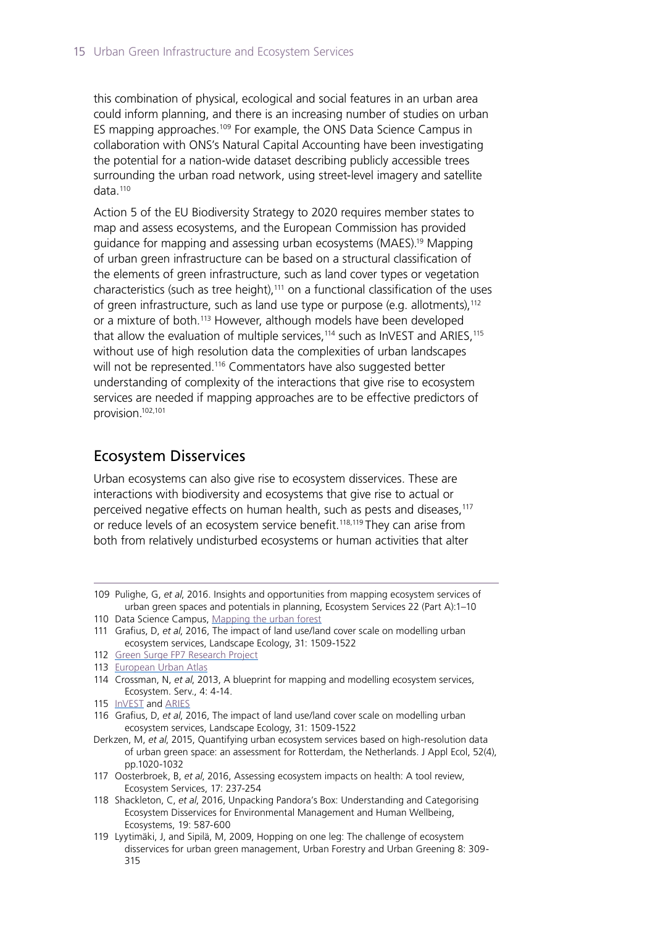this combination of physical, ecological and social features in an urban area could inform planning, and there is an increasing number of studies on urban ES mapping approaches.<sup>109</sup> For example, the ONS Data Science Campus in collaboration with ONS's Natural Capital Accounting have been investigating the potential for a nation-wide dataset describing publicly accessible trees surrounding the urban road network, using street-level imagery and satellite data.110

Action 5 of the EU Biodiversity Strategy to 2020 requires member states to map and assess ecosystems, and the European Commission has provided guidance for mapping and assessing urban ecosystems (MAES).19 Mapping of urban green infrastructure can be based on a structural classification of the elements of green infrastructure, such as land cover types or vegetation characteristics (such as tree height), $111$  on a functional classification of the uses of green infrastructure, such as land use type or purpose (e.g. allotments),<sup>112</sup> or a mixture of both.<sup>113</sup> However, although models have been developed that allow the evaluation of multiple services,<sup>114</sup> such as InVEST and ARIES,<sup>115</sup> without use of high resolution data the complexities of urban landscapes will not be represented.<sup>116</sup> Commentators have also suggested better understanding of complexity of the interactions that give rise to ecosystem services are needed if mapping approaches are to be effective predictors of provision.102,101

#### Ecosystem Disservices

Urban ecosystems can also give rise to ecosystem disservices. These are interactions with biodiversity and ecosystems that give rise to actual or perceived negative effects on human health, such as pests and diseases.<sup>117</sup> or reduce levels of an ecosystem service benefit.<sup>118,119</sup> They can arise from both from relatively undisturbed ecosystems or human activities that alter

<sup>109</sup> Pulighe, G, *et al*, 2016. Insights and opportunities from mapping ecosystem services of urban green spaces and potentials in planning, Ecosystem Services 22 (Part A):1–10

<sup>110</sup> Data Science Campus, [Mapping the urban forest](https://datasciencecampus.ons.gov.uk/2017/04/10/mapping-the-urban-forest/)

<sup>111</sup> Grafius, D, *et al*, 2016, The impact of land use/land cover scale on modelling urban ecosystem services, Landscape Ecology, 31: 1509-1522

<sup>112</sup> [Green Surge FP7 Research Project](http://greensurge.eu/)

<sup>113</sup> [European Urban Atlas](https://www.eea.europa.eu/data-and-maps/data/urban-atlas)

<sup>114</sup> Crossman, N, *et al*, 2013, A blueprint for mapping and modelling ecosystem services, Ecosystem. Serv., 4: 4-14.

<sup>115</sup> [InVEST](https://www.naturalcapitalproject.org/invest/) and [ARIES](http://aries.integratedmodelling.org/)

<sup>116</sup> Grafius, D, *et al*, 2016, The impact of land use/land cover scale on modelling urban ecosystem services, Landscape Ecology, 31: 1509-1522

Derkzen, M, *et al*, 2015, Quantifying urban ecosystem services based on high-resolution data of urban green space: an assessment for Rotterdam, the Netherlands. J Appl Ecol, 52(4), pp.1020-1032

<sup>117</sup> Oosterbroek, B, *et al*, 2016, Assessing ecosystem impacts on health: A tool review, Ecosystem Services, 17: 237-254

<sup>118</sup> Shackleton, C, *et al*, 2016, Unpacking Pandora's Box: Understanding and Categorising Ecosystem Disservices for Environmental Management and Human Wellbeing, Ecosystems, 19: 587-600

<sup>119</sup> Lyytimäki, J, and Sipilä, M, 2009, Hopping on one leg: The challenge of ecosystem disservices for urban green management, Urban Forestry and Urban Greening 8: 309- 315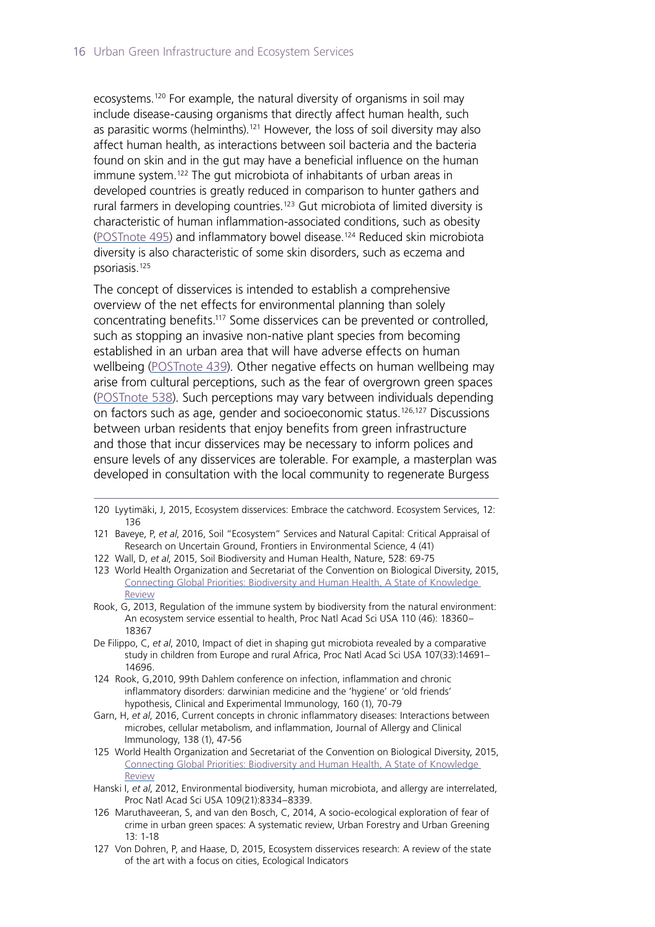ecosystems.120 For example, the natural diversity of organisms in soil may include disease-causing organisms that directly affect human health, such as parasitic worms (helminths).<sup>121</sup> However, the loss of soil diversity may also affect human health, as interactions between soil bacteria and the bacteria found on skin and in the gut may have a beneficial influence on the human immune system.<sup>122</sup> The gut microbiota of inhabitants of urban areas in developed countries is greatly reduced in comparison to hunter gathers and rural farmers in developing countries.<sup>123</sup> Gut microbiota of limited diversity is characteristic of human inflammation-associated conditions, such as obesity [\(POSTnote 495\)](http://researchbriefings.parliament.uk/ResearchBriefing/Summary/POST-PN-495) and inflammatory bowel disease.124 Reduced skin microbiota diversity is also characteristic of some skin disorders, such as eczema and psoriasis.125

The concept of disservices is intended to establish a comprehensive overview of the net effects for environmental planning than solely concentrating benefits.117 Some disservices can be prevented or controlled, such as stopping an invasive non-native plant species from becoming established in an urban area that will have adverse effects on human wellbeing ([POSTnote 439](http://researchbriefings.parliament.uk/ResearchBriefing/Summary/POST-PN-439)). Other negative effects on human wellbeing may arise from cultural perceptions, such as the fear of overgrown green spaces [\(POSTnote 538\)](http://researchbriefings.parliament.uk/ResearchBriefing/Summary/POST-PN-538). Such perceptions may vary between individuals depending on factors such as age, gender and socioeconomic status.126,127 Discussions between urban residents that enjoy benefits from green infrastructure and those that incur disservices may be necessary to inform polices and ensure levels of any disservices are tolerable. For example, a masterplan was developed in consultation with the local community to regenerate Burgess

- 122 Wall, D, *et al*, 2015, Soil Biodiversity and Human Health, Nature, 528: 69-75
- 123 World Health Organization and Secretariat of the Convention on Biological Diversity, 2015, [Connecting Global Priorities: Biodiversity and Human Health, A State of Knowledge](https://www.cbd.int/health/stateofknowledge/)  [Review](https://www.cbd.int/health/stateofknowledge/)
- Rook, G, 2013, Regulation of the immune system by biodiversity from the natural environment: An ecosystem service essential to health, Proc Natl Acad Sci USA 110 (46): 18360– 18367
- De Filippo, C, *et al*, 2010, Impact of diet in shaping gut microbiota revealed by a comparative study in children from Europe and rural Africa, Proc Natl Acad Sci USA 107(33):14691– 14696.
- 124 Rook, G,2010, 99th Dahlem conference on infection, inflammation and chronic inflammatory disorders: darwinian medicine and the 'hygiene' or 'old friends' hypothesis, Clinical and Experimental Immunology, 160 (1), 70-79
- Garn, H, *et al*, 2016, Current concepts in chronic inflammatory diseases: Interactions between microbes, cellular metabolism, and inflammation, Journal of Allergy and Clinical Immunology, 138 (1), 47-56
- 125 World Health Organization and Secretariat of the Convention on Biological Diversity, 2015, [Connecting Global Priorities: Biodiversity and Human Health, A State of Knowledge](https://www.cbd.int/health/stateofknowledge/)  [Review](https://www.cbd.int/health/stateofknowledge/)
- Hanski I, *et al*, 2012, Environmental biodiversity, human microbiota, and allergy are interrelated, Proc Natl Acad Sci USA 109(21):8334–8339.
- 126 Maruthaveeran, S, and van den Bosch, C, 2014, A socio-ecological exploration of fear of crime in urban green spaces: A systematic review, Urban Forestry and Urban Greening 13: 1-18
- 127 Von Dohren, P, and Haase, D, 2015, Ecosystem disservices research: A review of the state of the art with a focus on cities, Ecological Indicators

<sup>120</sup> Lyytimäki, J, 2015, Ecosystem disservices: Embrace the catchword. Ecosystem Services, 12: 136

<sup>121</sup> Baveye, P, *et al*, 2016, Soil "Ecosystem" Services and Natural Capital: Critical Appraisal of Research on Uncertain Ground, Frontiers in Environmental Science, 4 (41)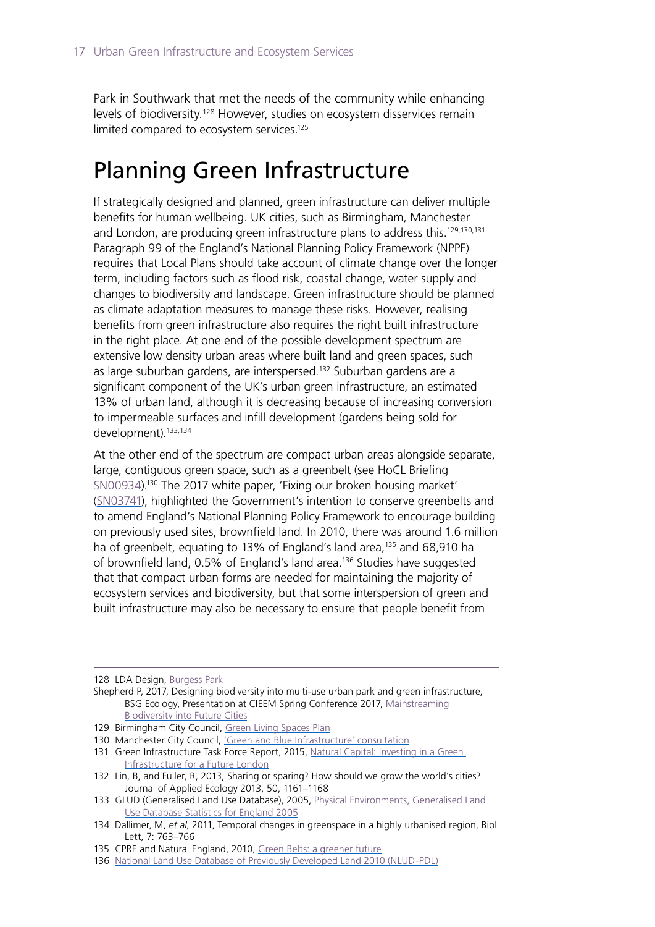<span id="page-16-0"></span>Park in Southwark that met the needs of the community while enhancing levels of biodiversity.<sup>128</sup> However, studies on ecosystem disservices remain limited compared to ecosystem services.<sup>125</sup>

## Planning Green Infrastructure

If strategically designed and planned, green infrastructure can deliver multiple benefits for human wellbeing. UK cities, such as Birmingham, Manchester and London, are producing green infrastructure plans to address this.<sup>129,130,131</sup> Paragraph 99 of the England's National Planning Policy Framework (NPPF) requires that Local Plans should take account of climate change over the longer term, including factors such as flood risk, coastal change, water supply and changes to biodiversity and landscape. Green infrastructure should be planned as climate adaptation measures to manage these risks. However, realising benefits from green infrastructure also requires the right built infrastructure in the right place. At one end of the possible development spectrum are extensive low density urban areas where built land and green spaces, such as large suburban gardens, are interspersed.<sup>132</sup> Suburban gardens are a significant component of the UK's urban green infrastructure, an estimated 13% of urban land, although it is decreasing because of increasing conversion to impermeable surfaces and infill development (gardens being sold for development).133,134

At the other end of the spectrum are compact urban areas alongside separate, large, contiguous green space, such as a greenbelt (see HoCL Briefing [SN00934](http://researchbriefings.parliament.uk/ResearchBriefing/Summary/SN00934)).130 The 2017 white paper, 'Fixing our broken housing market' [\(SN03741\)](http://researchbriefings.parliament.uk/ResearchBriefing/Summary/SN03741), highlighted the Government's intention to conserve greenbelts and to amend England's National Planning Policy Framework to encourage building on previously used sites, brownfield land. In 2010, there was around 1.6 million ha of greenbelt, equating to 13% of England's land area,<sup>135</sup> and 68,910 ha of brownfield land, 0.5% of England's land area.<sup>136</sup> Studies have suggested that that compact urban forms are needed for maintaining the majority of ecosystem services and biodiversity, but that some interspersion of green and built infrastructure may also be necessary to ensure that people benefit from

<sup>128</sup> LDA Design, [Burgess Park](http://www.lda-design.co.uk/wp-content/uploads/2014/11/Burgess-Park-2-sided.pdf)

Shepherd P, 2017, Designing biodiversity into multi-use urban park and green infrastructure, BSG Ecology, Presentation at CIEEM Spring Conference 2017, [Mainstreaming](https://www.cieem.net/data/files/Spring_Conference_2017/Presentations/08_Peter_Shepherd.pdf)  [Biodiversity into Future Cities](https://www.cieem.net/data/files/Spring_Conference_2017/Presentations/08_Peter_Shepherd.pdf)

<sup>129</sup> Birmingham City Council, [Green Living Spaces Plan](https://www.birmingham.gov.uk/greenlivingspaces)

<sup>130</sup> Manchester City Council, ['Green and Blue Infrastructure' consultation](http://www.manchester.gov.uk/info/200024/consultations_and_surveys/6905/green_and_blue_infrastructure_consultation/3)

<sup>131</sup> Green Infrastructure Task Force Report, 2015, [Natural Capital: Investing in a Green](https://www.london.gov.uk/sites/default/files/gitaskforcereport.hyperlink.pdf) [Infrastructure for a Future London](https://www.london.gov.uk/sites/default/files/gitaskforcereport.hyperlink.pdf)

<sup>132</sup> Lin, B, and Fuller, R, 2013, Sharing or sparing? How should we grow the world's cities? Journal of Applied Ecology 2013, 50, 1161–1168

<sup>133</sup> GLUD (Generalised Land Use Database), 2005, *Physical Environments, Generalised Land* [Use Database Statistics for England 2005](https://data.gov.uk/dataset/land_use_statistics_generalised_land_use_database)

<sup>134</sup> Dallimer, M, *et al*, 2011, Temporal changes in greenspace in a highly urbanised region, Biol Lett, 7: 763–766

<sup>135</sup> CPRE and Natural England, 2010, [Green Belts: a greener future](http://www.cpre.org.uk/resources/housing-and-planning/green-belts/item/1956-green-belts-a-greener-future)

<sup>136</sup> [National Land Use Database of Previously Developed Land 2010 \(NLUD-PDL\)](https://www.gov.uk/government/statistics/national-land-use-database-of-previously-developed-land-2010-nlud-pdl)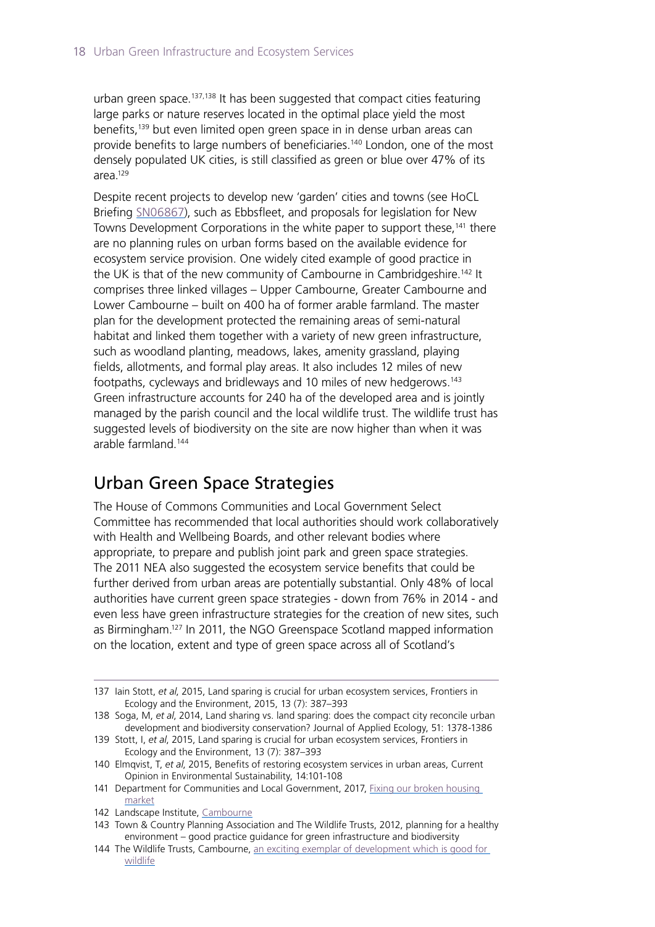<span id="page-17-0"></span>urban green space.<sup>137,138</sup> It has been suggested that compact cities featuring large parks or nature reserves located in the optimal place yield the most benefits.<sup>139</sup> but even limited open green space in in dense urban areas can provide benefits to large numbers of beneficiaries.140 London, one of the most densely populated UK cities, is still classified as green or blue over 47% of its area.129

Despite recent projects to develop new 'garden' cities and towns (see HoCL Briefing [SN06867\)](http://researchbriefings.parliament.uk/ResearchBriefing/Summary/SN06867), such as Ebbsfleet, and proposals for legislation for New Towns Development Corporations in the white paper to support these,141 there are no planning rules on urban forms based on the available evidence for ecosystem service provision. One widely cited example of good practice in the UK is that of the new community of Cambourne in Cambridgeshire.<sup>142</sup> It comprises three linked villages – Upper Cambourne, Greater Cambourne and Lower Cambourne – built on 400 ha of former arable farmland. The master plan for the development protected the remaining areas of semi-natural habitat and linked them together with a variety of new green infrastructure, such as woodland planting, meadows, lakes, amenity grassland, playing fields, allotments, and formal play areas. It also includes 12 miles of new footpaths, cycleways and bridleways and 10 miles of new hedgerows.143 Green infrastructure accounts for 240 ha of the developed area and is jointly managed by the parish council and the local wildlife trust. The wildlife trust has suggested levels of biodiversity on the site are now higher than when it was arable farmland.144

### Urban Green Space Strategies

The House of Commons Communities and Local Government Select Committee has recommended that local authorities should work collaboratively with Health and Wellbeing Boards, and other relevant bodies where appropriate, to prepare and publish joint park and green space strategies. The 2011 NEA also suggested the ecosystem service benefits that could be further derived from urban areas are potentially substantial. Only 48% of local authorities have current green space strategies - down from 76% in 2014 - and even less have green infrastructure strategies for the creation of new sites, such as Birmingham.127 In 2011, the NGO Greenspace Scotland mapped information on the location, extent and type of green space across all of Scotland's

<sup>137</sup> Iain Stott, *et al*, 2015, Land sparing is crucial for urban ecosystem services, Frontiers in Ecology and the Environment, 2015, 13 (7): 387–393

<sup>138</sup> Soga, M, *et al*, 2014, Land sharing vs. land sparing: does the compact city reconcile urban development and biodiversity conservation? Journal of Applied Ecology, 51: 1378-1386

<sup>139</sup> Stott, I, *et al*, 2015, Land sparing is crucial for urban ecosystem services, Frontiers in Ecology and the Environment, 13 (7): 387–393

<sup>140</sup> Elmqvist, T, *et al*, 2015, Benefits of restoring ecosystem services in urban areas, Current Opinion in Environmental Sustainability, 14:101-108

<sup>141</sup> Department for Communities and Local Government, 2017, Fixing our broken housing [market](https://www.gov.uk/government/uploads/system/uploads/attachment_data/file/590463/Fixing_our_broken_housing_market_-_accessible_version.pdf)

<sup>142</sup> Landscape Institute, [Cambourne](https://www.landscapeinstitute.org/case-studies/cambourne_/)

<sup>143</sup> Town & Country Planning Association and The Wildlife Trusts, 2012, planning for a healthy environment – good practice guidance for green infrastructure and biodiversity

<sup>144</sup> The Wildlife Trusts, Cambourne, an exciting exemplar of development which is good for [wildlife](http://www.wildlifebcn.org/blog/brian-eversham/2012/10/16/brians-blog-cambourne-exciting-exemplar-development-which-good-wildli)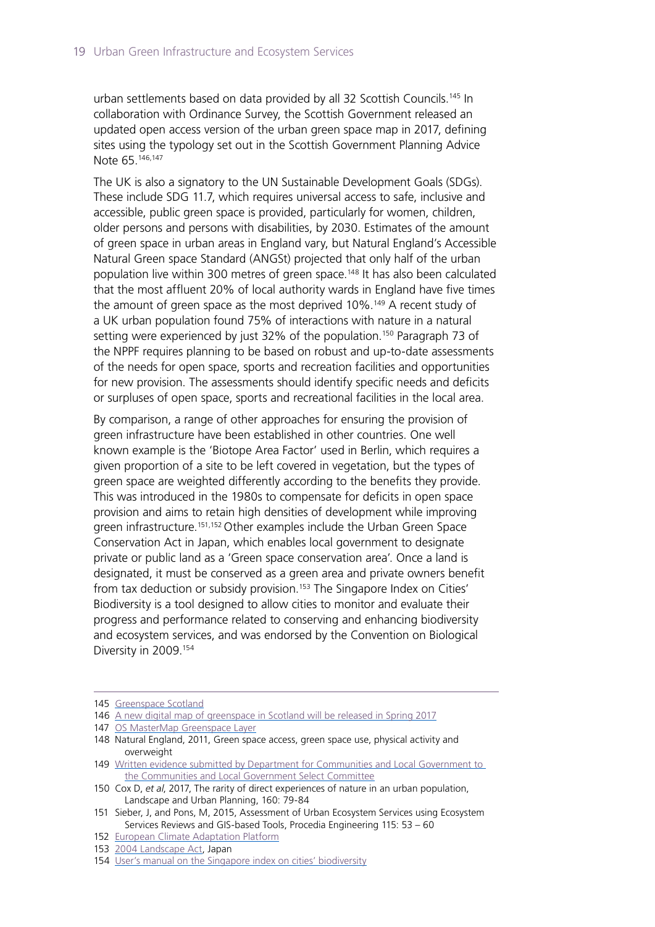urban settlements based on data provided by all 32 Scottish Councils.145 In collaboration with Ordinance Survey, the Scottish Government released an updated open access version of the urban green space map in 2017, defining sites using the typology set out in the Scottish Government Planning Advice Note 65.146,147

The UK is also a signatory to the UN Sustainable Development Goals (SDGs). These include SDG 11.7, which requires universal access to safe, inclusive and accessible, public green space is provided, particularly for women, children, older persons and persons with disabilities, by 2030. Estimates of the amount of green space in urban areas in England vary, but Natural England's Accessible Natural Green space Standard (ANGSt) projected that only half of the urban population live within 300 metres of green space.148 It has also been calculated that the most affluent 20% of local authority wards in England have five times the amount of green space as the most deprived 10%.<sup>149</sup> A recent study of a UK urban population found 75% of interactions with nature in a natural setting were experienced by just 32% of the population.<sup>150</sup> Paragraph 73 of the NPPF requires planning to be based on robust and up-to-date assessments of the needs for open space, sports and recreation facilities and opportunities for new provision. The assessments should identify specific needs and deficits or surpluses of open space, sports and recreational facilities in the local area.

By comparison, a range of other approaches for ensuring the provision of green infrastructure have been established in other countries. One well known example is the 'Biotope Area Factor' used in Berlin, which requires a given proportion of a site to be left covered in vegetation, but the types of green space are weighted differently according to the benefits they provide. This was introduced in the 1980s to compensate for deficits in open space provision and aims to retain high densities of development while improving green infrastructure.<sup>151,152</sup> Other examples include the Urban Green Space Conservation Act in Japan, which enables local government to designate private or public land as a 'Green space conservation area'. Once a land is designated, it must be conserved as a green area and private owners benefit from tax deduction or subsidy provision.<sup>153</sup> The Singapore Index on Cities' Biodiversity is a tool designed to allow cities to monitor and evaluate their progress and performance related to conserving and enhancing biodiversity and ecosystem services, and was endorsed by the Convention on Biological Diversity in 2009.<sup>154</sup>

<sup>145</sup> [Greenspace Scotland](http://greenspacescotland.org.uk/scotlands-greenspace-map.aspx)

<sup>146</sup> [A new digital map of greenspace in Scotland will be released in Spring 2017](http://greenspacescotland.org.uk/SharedFiles/Download.aspx?pageid=131&mid=127&fileid=1539)

<sup>147</sup> [OS MasterMap Greenspace Layer](https://www.ordnancesurvey.co.uk/business-and-government/products/os-mastermap-greenspace.html)

<sup>148</sup> Natural England, 2011, Green space access, green space use, physical activity and overweight

<sup>149</sup> Written evidence submitted by Department for Communities and Local Government to [the Communities and Local Government Select Committee](http://data.parliament.uk/writtenevidence/committeeevidence.svc/evidencedocument/communities-and-local-government-committee/public-parks/written/39517.html)

<sup>150</sup> Cox D, *et al*, 2017, The rarity of direct experiences of nature in an urban population, Landscape and Urban Planning, 160: 79-84

<sup>151</sup> Sieber, J, and Pons, M, 2015, Assessment of Urban Ecosystem Services using Ecosystem Services Reviews and GIS-based Tools, Procedia Engineering 115: 53 – 60

<sup>152</sup> [European Climate Adaptation Platform](http://climate-adapt.eea.europa.eu/metadata/case-studies/berlin-biotope-area-factor-2013-implementation-of-guidelines-helping-to-control-temperature-and-runoff)

<sup>153</sup> [2004 Landscape Act,](http://extwprlegs1.fao.org/docs/pdf/jap158038.pdf) Japan

<sup>154</sup> [User's manual on the Singapore index on cities' biodiversity](https://www.cbd.int/doc/meetings/city/subws-2014-01/other/subws-2014-01-singapore-index-manual-en.pdf)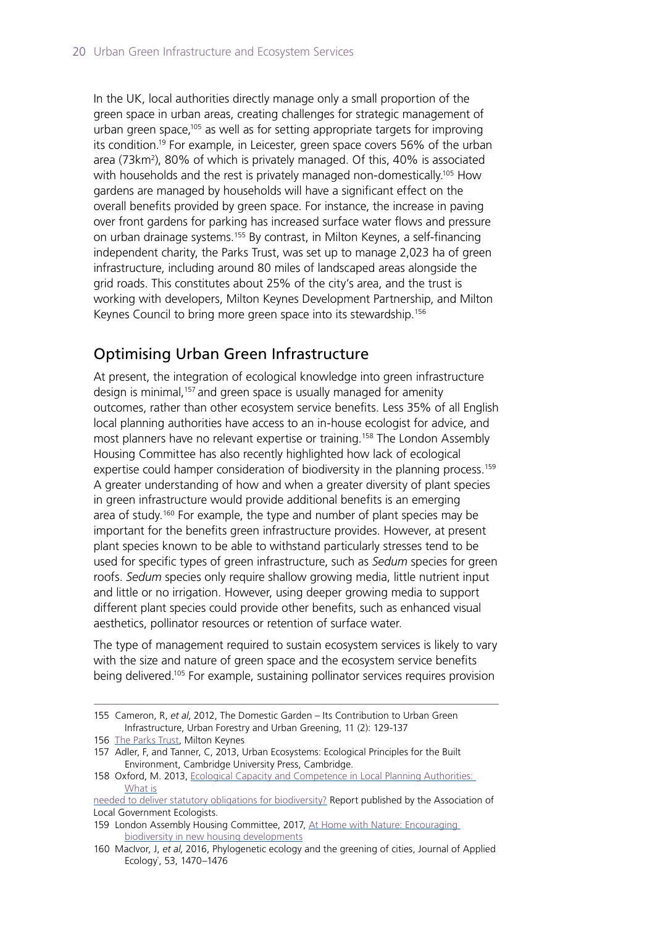In the UK, local authorities directly manage only a small proportion of the green space in urban areas, creating challenges for strategic management of urban green space,105 as well as for setting appropriate targets for improving its condition.19 For example, in Leicester, green space covers 56% of the urban area (73km2 ), 80% of which is privately managed. Of this, 40% is associated with households and the rest is privately managed non-domestically.<sup>105</sup> How gardens are managed by households will have a significant effect on the overall benefits provided by green space. For instance, the increase in paving over front gardens for parking has increased surface water flows and pressure on urban drainage systems.155 By contrast, in Milton Keynes, a self-financing independent charity, the Parks Trust, was set up to manage 2,023 ha of green infrastructure, including around 80 miles of landscaped areas alongside the grid roads. This constitutes about 25% of the city's area, and the trust is working with developers, Milton Keynes Development Partnership, and Milton Keynes Council to bring more green space into its stewardship.156

#### Optimising Urban Green Infrastructure

At present, the integration of ecological knowledge into green infrastructure design is minimal,<sup>157</sup> and green space is usually managed for amenity outcomes, rather than other ecosystem service benefits. Less 35% of all English local planning authorities have access to an in-house ecologist for advice, and most planners have no relevant expertise or training.<sup>158</sup> The London Assembly Housing Committee has also recently highlighted how lack of ecological expertise could hamper consideration of biodiversity in the planning process.<sup>159</sup> A greater understanding of how and when a greater diversity of plant species in green infrastructure would provide additional benefits is an emerging area of study.<sup>160</sup> For example, the type and number of plant species may be important for the benefits green infrastructure provides. However, at present plant species known to be able to withstand particularly stresses tend to be used for specific types of green infrastructure, such as *Sedum* species for green roofs. *Sedum* species only require shallow growing media, little nutrient input and little or no irrigation. However, using deeper growing media to support different plant species could provide other benefits, such as enhanced visual aesthetics, pollinator resources or retention of surface water.

The type of management required to sustain ecosystem services is likely to vary with the size and nature of green space and the ecosystem service benefits being delivered.<sup>105</sup> For example, sustaining pollinator services requires provision

<sup>155</sup> Cameron, R, *et al*, 2012, The Domestic Garden – Its Contribution to Urban Green Infrastructure, Urban Forestry and Urban Greening, 11 (2): 129-137

<sup>156</sup> [The Parks Trust,](http://www.theparkstrust.com/about-us-about-us/about-us) Milton Keynes

<sup>157</sup> Adler, F, and Tanner, C, 2013, Urban Ecosystems: Ecological Principles for the Built Environment, Cambridge University Press, Cambridge.

<sup>158</sup> Oxford, M. 2013, Ecological Capacity and Competence in Local Planning Authorities: [What is](https://www.cieem.net/data/files/Resource_Library/News/ALGE_Report_on_Ecological_Competence_and_Capacity.pdf)

[needed to deliver statutory obligations for biodiversity?](https://www.cieem.net/data/files/Resource_Library/News/ALGE_Report_on_Ecological_Competence_and_Capacity.pdf) Report published by the Association of Local Government Ecologists.

<sup>159</sup> London Assembly Housing Committee, 2017, [At Home with Nature: Encouraging](https://www.london.gov.uk/sites/default/files/at_home_with_nature_-_encouraging_biodiversity_in_new_housing_developments.pdf)  [biodiversity in new housing developments](https://www.london.gov.uk/sites/default/files/at_home_with_nature_-_encouraging_biodiversity_in_new_housing_developments.pdf)

<sup>160</sup> MacIvor, J, *et al*, 2016, Phylogenetic ecology and the greening of cities, Journal of Applied Ecology`, 53, 1470–1476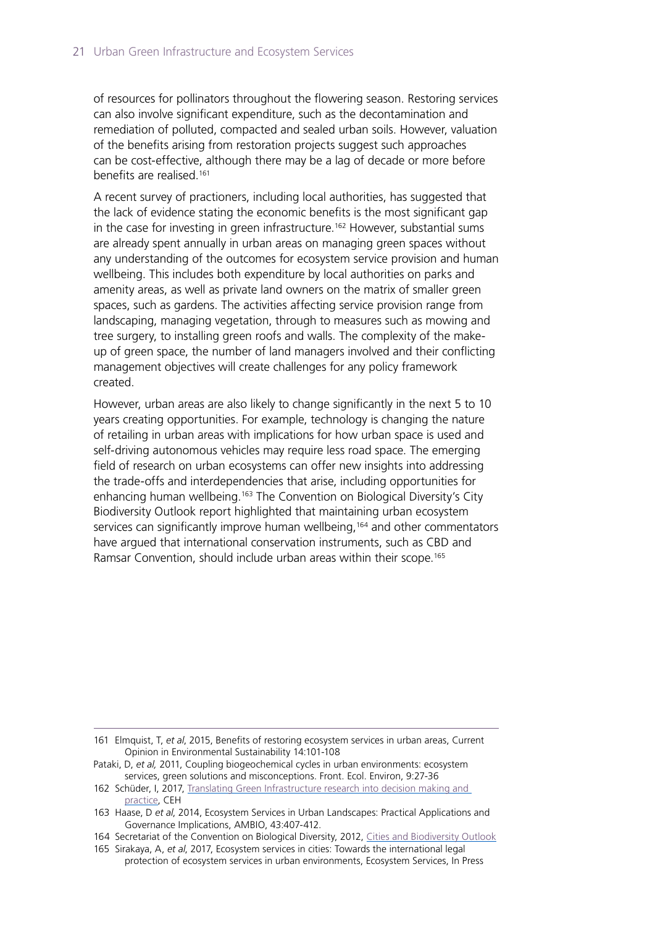of resources for pollinators throughout the flowering season. Restoring services can also involve significant expenditure, such as the decontamination and remediation of polluted, compacted and sealed urban soils. However, valuation of the benefits arising from restoration projects suggest such approaches can be cost-effective, although there may be a lag of decade or more before benefits are realised.<sup>161</sup>

A recent survey of practioners, including local authorities, has suggested that the lack of evidence stating the economic benefits is the most significant gap in the case for investing in green infrastructure.<sup>162</sup> However, substantial sums are already spent annually in urban areas on managing green spaces without any understanding of the outcomes for ecosystem service provision and human wellbeing. This includes both expenditure by local authorities on parks and amenity areas, as well as private land owners on the matrix of smaller green spaces, such as gardens. The activities affecting service provision range from landscaping, managing vegetation, through to measures such as mowing and tree surgery, to installing green roofs and walls. The complexity of the makeup of green space, the number of land managers involved and their conflicting management objectives will create challenges for any policy framework created.

However, urban areas are also likely to change significantly in the next 5 to 10 years creating opportunities. For example, technology is changing the nature of retailing in urban areas with implications for how urban space is used and self-driving autonomous vehicles may require less road space. The emerging field of research on urban ecosystems can offer new insights into addressing the trade-offs and interdependencies that arise, including opportunities for enhancing human wellbeing.<sup>163</sup> The Convention on Biological Diversity's City Biodiversity Outlook report highlighted that maintaining urban ecosystem services can significantly improve human wellbeing,<sup>164</sup> and other commentators have argued that international conservation instruments, such as CBD and Ramsar Convention, should include urban areas within their scope.<sup>165</sup>

<sup>161</sup> Elmquist, T, *et al*, 2015, Benefits of restoring ecosystem services in urban areas, Current Opinion in Environmental Sustainability 14:101-108

Pataki, D, *et al,* 2011, Coupling biogeochemical cycles in urban environments: ecosystem services, green solutions and misconceptions. Front. Ecol. Environ, 9:27-36

<sup>162</sup> Schüder, I, 2017, Translating Green Infrastructure research into decision making and [practice](https://www.ceh.ac.uk/sites/default/files/documents/Translating%20Green%20Infrastructure%20research%20into%20decision%20making_survey%20results_June%202017.pdf), CEH

<sup>163</sup> Haase, D *et al*, 2014, Ecosystem Services in Urban Landscapes: Practical Applications and Governance Implications, AMBIO, 43:407-412.

<sup>164</sup> Secretariat of the Convention on Biological Diversity, 2012, [Cities and Biodiversity Outlook](https://www.cbd.int/doc/health/cbo-action-policy-en.pdf)

<sup>165</sup> Sirakaya, A, *et al*, 2017, Ecosystem services in cities: Towards the international legal protection of ecosystem services in urban environments, Ecosystem Services, In Press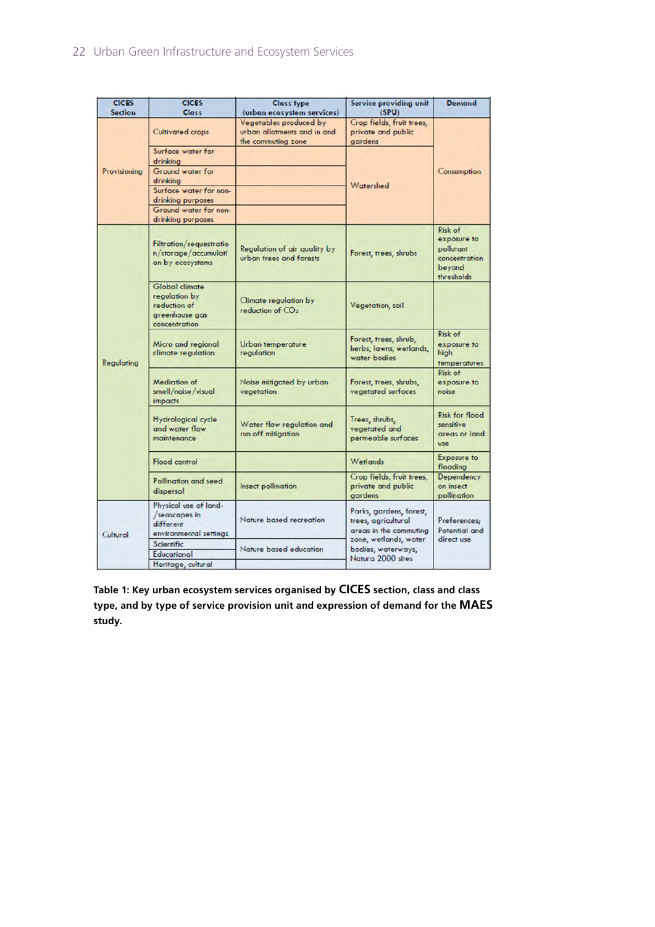#### 22 Urban Green Infrastructure and Ecosystem Services

| <b>CICES</b><br><b>Section</b> | <b>CICES</b><br>Class                                                              | <b>Class type</b>                                                                                         | Service providing unit                                                   | <b>Demand</b>                                                                |  |
|--------------------------------|------------------------------------------------------------------------------------|-----------------------------------------------------------------------------------------------------------|--------------------------------------------------------------------------|------------------------------------------------------------------------------|--|
| Provisioning                   | Cultivated crops                                                                   | (urban ecosystem services)<br>Vegetables produced by<br>urban allotments and in and<br>the commuting zone | (SPU)<br>Crop fields, fruit trees,<br>private and public<br>gardens      |                                                                              |  |
|                                | Surface water for<br>drinkina                                                      |                                                                                                           |                                                                          | Consumption                                                                  |  |
|                                | Ground water for<br>drinkina                                                       |                                                                                                           | Watershed                                                                |                                                                              |  |
|                                | Surface water for non-<br>drinking purposes                                        |                                                                                                           |                                                                          |                                                                              |  |
|                                | Ground water for non-<br>drinking purposes                                         |                                                                                                           |                                                                          |                                                                              |  |
| Regulating                     | Filtration/sequestratio<br>n/storage/accumulati<br>on by ecosystems                | Regulation of air quality by<br>urban trees and forests                                                   | Forest, trees, shrubs                                                    | Risk of<br>exposure to<br>pollutant<br>concentration<br>beyond<br>thresholds |  |
|                                | Global climate<br>regulation by<br>reduction of<br>areenhouse aas<br>concentration | <b>Climate regulation by</b><br>$reduction of CO2$                                                        | Vegetation, soil                                                         |                                                                              |  |
|                                | Micro and regional<br>climate regulation                                           | Urban temperature<br>regulation                                                                           | Forest, trees, shrub,<br>herbs, lawns, wetlands,<br>water bodies         | <b>Risk of</b><br>exposure to<br>high<br>temperatures                        |  |
|                                | Mediation of<br>smell/noise/visual<br>impacts                                      | Noise mitigated by urban<br>vegetation                                                                    | Forest, trees, shrubs,<br>vegetated surfaces                             | <b>Risk of</b><br>exposure to<br>noise                                       |  |
|                                | Hydrological cycle<br>and water flow<br>maintenance                                | Water flow regulation and<br>run off mitigation                                                           | Trees, shrubs,<br>vegetated and<br>permeable surfaces                    | <b>Risk for flood</b><br>sensitive<br>areas or land<br>use                   |  |
|                                | Flood control                                                                      |                                                                                                           | Wetlands                                                                 | <b>Exposure to</b><br>flooding                                               |  |
|                                | Pollination and seed<br>dispersal                                                  | <b>Insect pollination</b>                                                                                 | Crop fields, fruit trees,<br>private and public<br>gardens               | Dependency<br>on insect<br>pollination                                       |  |
| Cultural                       | Physical use of land-<br>/seascapes in<br>different<br>environmental settings      | Nature based recreation                                                                                   | Parks, gardens, forest,<br>trees, agricultural<br>areas in the commuting | Preferences;<br>Potential and                                                |  |
|                                | <b>Scientific</b><br><b>Educational</b>                                            | zone, wetlands, water<br>Nature based education<br>bodies, waterways,<br>Natura 2000 sites                |                                                                          | direct use                                                                   |  |
|                                | Heritage, cultural                                                                 |                                                                                                           |                                                                          |                                                                              |  |

**Table 1: Key urban ecosystem services organised by CICES section, class and class type, and by type of service provision unit and expression of demand for the MAES study.**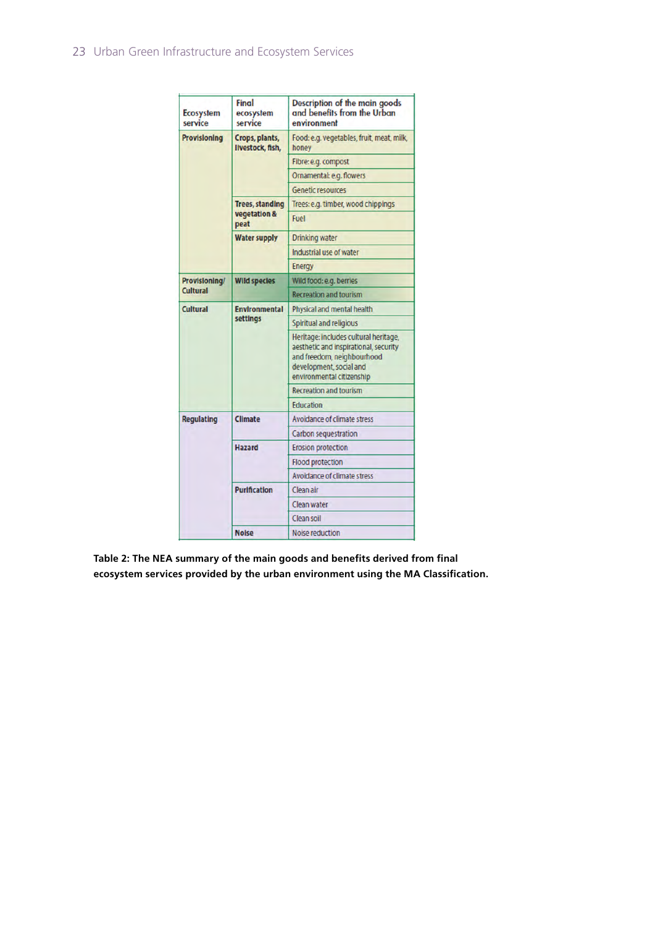#### 23 Urban Green Infrastructure and Ecosystem Services

| <b>Ecosystem</b><br>service | Final<br>ecosystem<br>service      | Description of the main goods<br>and benefits from the Urban<br>environment                                                                                          |
|-----------------------------|------------------------------------|----------------------------------------------------------------------------------------------------------------------------------------------------------------------|
| <b>Provisioning</b>         | Crops, plants,<br>Ilvestock, fish, | Food: e.g. vegetables, fruit, meat, milk,<br>honey                                                                                                                   |
|                             |                                    | Fibre: e.g. compost                                                                                                                                                  |
|                             |                                    | Ornamental: e.g. flowers                                                                                                                                             |
|                             |                                    | <b>Genetic resources</b>                                                                                                                                             |
|                             | <b>Trees, standing</b>             | Trees: e.g. timber, wood chippings                                                                                                                                   |
|                             | vegetation &<br>peat               | Fuel                                                                                                                                                                 |
|                             | <b>Water supply</b>                | <b>Drinking water</b>                                                                                                                                                |
|                             |                                    | Industrial use of water                                                                                                                                              |
|                             |                                    | Energy                                                                                                                                                               |
| Provisioning/               | <b>Wild species</b>                | Wild food: e.g. berries                                                                                                                                              |
| <b>Cultural</b>             |                                    | <b>Recreation and tourism</b>                                                                                                                                        |
| <b>Cultural</b>             | <b>Environmental</b><br>settings   | Physical and mental health                                                                                                                                           |
|                             |                                    | Spiritual and religious                                                                                                                                              |
|                             |                                    | Heritage: includes cultural heritage,<br>aesthetic and inspirational, security<br>and freedom, neighbourhood<br>development, social and<br>environmental citizenship |
|                             |                                    | <b>Recreation and tourism</b>                                                                                                                                        |
|                             |                                    | <b>Education</b>                                                                                                                                                     |
| <b>Requlating</b>           | <b>Climate</b>                     | Avoidance of climate stress                                                                                                                                          |
|                             |                                    | Carbon sequestration                                                                                                                                                 |
|                             | <b>Hazard</b>                      | <b>Erosion protection</b>                                                                                                                                            |
|                             |                                    | <b>Flood protection</b>                                                                                                                                              |
|                             |                                    | <b>Avoidance of climate stress</b>                                                                                                                                   |
|                             | <b>Purification</b>                | Clean air                                                                                                                                                            |
|                             |                                    | <b>Clean water</b>                                                                                                                                                   |
|                             |                                    | Clean soil                                                                                                                                                           |
|                             | <b>Noise</b>                       | Noise reduction                                                                                                                                                      |

**Table 2: The NEA summary of the main goods and benefits derived from final ecosystem services provided by the urban environment using the MA Classification.**